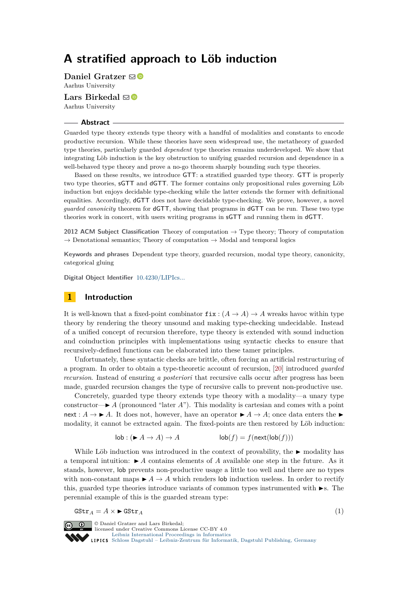# **A stratified approach to Löb induction**

**Daniel Gratzer** ⊠<sup>■</sup> Aarhus University

Lars Birkedal **⊠** Aarhus University

### **Abstract**

Guarded type theory extends type theory with a handful of modalities and constants to encode productive recursion. While these theories have seen widespread use, the metatheory of guarded type theories, particularly guarded *dependent* type theories remains underdeveloped. We show that integrating Löb induction is the key obstruction to unifying guarded recursion and dependence in a well-behaved type theory and prove a no-go theorem sharply bounding such type theories.

Based on these results, we introduce GTT: a stratified guarded type theory. GTT is properly two type theories, sGTT and dGTT. The former contains only propositional rules governing Löb induction but enjoys decidable type-checking while the latter extends the former with definitional equalities. Accordingly, dGTT does not have decidable type-checking. We prove, however, a novel *guarded canonicity* theorem for dGTT, showing that programs in dGTT can be run. These two type theories work in concert, with users writing programs in sGTT and running them in dGTT.

**2012 ACM Subject Classification** Theory of computation → Type theory; Theory of computation  $\rightarrow$  Denotational semantics; Theory of computation  $\rightarrow$  Modal and temporal logics

**Keywords and phrases** Dependent type theory, guarded recursion, modal type theory, canonicity, categorical gluing

**Digital Object Identifier** [10.4230/LIPIcs...](https://doi.org/10.4230/LIPIcs...)

## **1 Introduction**

It is well-known that a fixed-point combinator  $fix : (A \rightarrow A) \rightarrow A$  wreaks havoc within type theory by rendering the theory unsound and making type-checking undecidable. Instead of a unified concept of recursion therefore, type theory is extended with sound induction and coinduction principles with implementations using syntactic checks to ensure that recursively-defined functions can be elaborated into these tamer principles.

Unfortunately, these syntactic checks are brittle, often forcing an artificial restructuring of a program. In order to obtain a type-theoretic account of recursion, [\[20\]](#page-16-0) introduced *guarded recursion*. Instead of ensuring *a posteriori* that recursive calls occur after progress has been made, guarded recursion changes the type of recursive calls to prevent non-productive use.

Concretely, guarded type theory extends type theory with a modality—a unary type constructor— $\blacktriangleright$  *A* (pronounced "later *A*"). This modality is cartesian and comes with a point next :  $A \to \blacktriangleright A$ . It does not, however, have an operator  $\blacktriangleright A \to A$ ; once data enters the modality, it cannot be extracted again. The fixed-points are then restored by Löb induction:

$$
\mathsf{lob} : (\blacktriangleright A \to A) \to A \qquad \qquad \mathsf{lob}(f) = f(\mathsf{next}(\mathsf{lob}(f)))
$$

While Löb induction was introduced in the context of provability, the  $\blacktriangleright$  modality has a temporal intuition:  $\blacktriangleright$  *A* contains elements of *A* available one step in the future. As it stands, however, lob prevents non-productive usage a little too well and there are no types with non-constant maps  $\blacktriangleright$  *A*  $\rightarrow$  *A* which renders lob induction useless. In order to rectify this, guarded type theories introduce variants of common types instrumented with  $\blacktriangleright$ s. The perennial example of this is the guarded stream type:

$$
\mathsf{GStr}_A = A \times \blacktriangleright \mathsf{GStr}_A \tag{1}
$$



**c i**  $\Theta$  Daniel Gratzer and Lars Birkedal: licensed under Creative Commons License CC-BY 4.0 [Leibniz International Proceedings in Informatics](https://www.dagstuhl.de/lipics/) [Schloss Dagstuhl – Leibniz-Zentrum für Informatik, Dagstuhl Publishing, Germany](https://www.dagstuhl.de)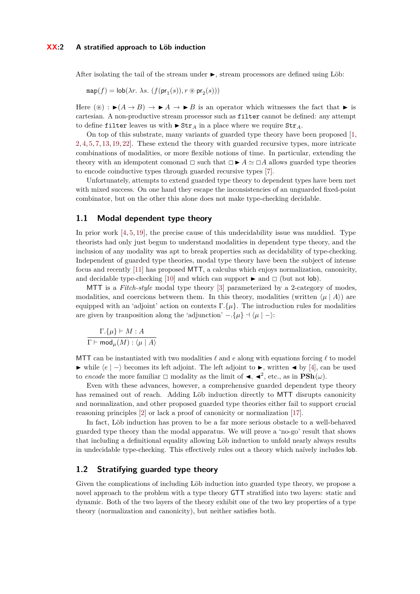After isolating the tail of the stream under  $\blacktriangleright$ , stream processors are defined using Löb:

$$
\mathrm{map}(f)=\mathrm{lob}(\lambda r.\ \lambda s.\ (f(\mathrm{pr}_1(s)), r\circledast \mathrm{pr}_2(s)))
$$

Here  $(\circledast) : \blacktriangleright (A \rightarrow B) \rightarrow \blacktriangleright A \rightarrow \blacktriangleright B$  is an operator which witnesses the fact that  $\blacktriangleright$  is cartesian. A non-productive stream processor such as filter cannot be defined: any attempt to define filter leaves us with  $\triangleright$  Str<sub>A</sub> in a place where we require Str<sub>A</sub>.

On top of this substrate, many variants of guarded type theory have been proposed [\[1,](#page-14-0) [2,](#page-14-1) [4,](#page-15-0) [5,](#page-15-1) [7,](#page-15-2) [13,](#page-15-3) [19,](#page-15-4) [22\]](#page-16-1). These extend the theory with guarded recursive types, more intricate combinations of modalities, or more flexible notions of time. In particular, extending the theory with an idempotent comonad  $\Box$  such that  $\Box \blacktriangleright A \simeq \Box A$  allows guarded type theories to encode coinductive types through guarded recursive types [\[7\]](#page-15-2).

Unfortunately, attempts to extend guarded type theory to dependent types have been met with mixed success. On one hand they escape the inconsistencies of an unguarded fixed-point combinator, but on the other this alone does not make type-checking decidable.

### **1.1 Modal dependent type theory**

In prior work  $[4, 5, 19]$  $[4, 5, 19]$  $[4, 5, 19]$  $[4, 5, 19]$  $[4, 5, 19]$ , the precise cause of this undecidability issue was muddied. Type theorists had only just begun to understand modalities in dependent type theory, and the inclusion of any modality was apt to break properties such as decidability of type-checking. Independent of guarded type theories, modal type theory have been the subject of intense focus and recently [\[11\]](#page-15-5) has proposed MTT, a calculus which enjoys normalization, canonicity, and decidable type-checking [\[10\]](#page-15-6) and which can support  $\blacktriangleright$  and  $\Box$  (but not lob).

MTT is a *Fitch-style* modal type theory [\[3\]](#page-15-7) parameterized by a 2-category of modes, modalities, and coercions between them. In this theory, modalities (written  $\langle \mu | A \rangle$ ) are equipped with an 'adjoint' action on contexts  $\Gamma$ *{µ}*. The introduction rules for modalities are given by tranposition along the 'adjunction'  $-$ *.*{ $\mu$ }  $\rightarrow$   $\langle \mu | - \rangle$ :

$$
\frac{\Gamma.\{\mu\} \vdash M : A}{\Gamma \vdash \mathsf{mod}_{\mu}(M) : \langle \mu \mid A \rangle}
$$

MTT can be instantiated with two modalities  $\ell$  and  $e$  along with equations forcing  $\ell$  to model  $\blacktriangleright$  while  $\langle e | - \rangle$  becomes its left adjoint. The left adjoint to  $\blacktriangleright$ , written  $\blacktriangleleft$  by [\[4\]](#page-15-0), can be used to *encode* the more familiar  $\Box$  modality as the limit of  $\triangleleft$ ,  $\triangleleft^2$ , etc., as in  $\text{PSh}(\omega)$ .

Even with these advances, however, a comprehensive guarded dependent type theory has remained out of reach. Adding Löb induction directly to MTT disrupts canonicity and normalization, and other proposed guarded type theories either fail to support crucial reasoning principles [\[2\]](#page-14-1) or lack a proof of canonicity or normalization [\[17\]](#page-15-8).

In fact, Löb induction has proven to be a far more serious obstacle to a well-behaved guarded type theory than the modal apparatus. We will prove a 'no-go' result that shows that including a definitional equality allowing Löb induction to unfold nearly always results in undecidable type-checking. This effectively rules out a theory which naïvely includes lob.

### **1.2 Stratifying guarded type theory**

Given the complications of including Löb induction into guarded type theory, we propose a novel approach to the problem with a type theory GTT stratified into two layers: static and dynamic. Both of the two layers of the theory exhibit one of the two key properties of a type theory (normalization and canonicity), but neither satisfies both.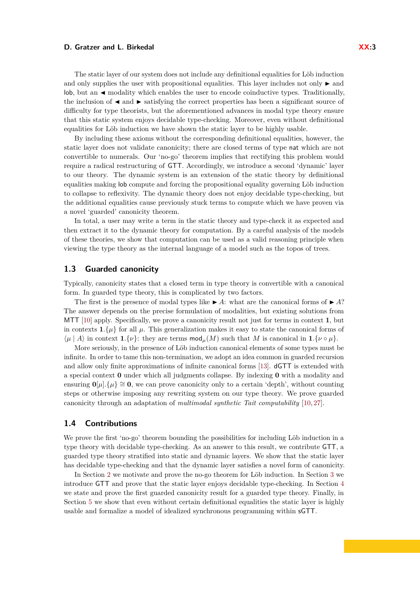The static layer of our system does not include any definitional equalities for Löb induction and only supplies the user with propositional equalities. This layer includes not only  $\blacktriangleright$  and  $\vert$  lob, but an  $\blacktriangleleft$  modality which enables the user to encode coinductive types. Traditionally, the inclusion of  $\triangleleft$  and  $\triangleright$  satisfying the correct properties has been a significant source of difficulty for type theorists, but the aforementioned advances in modal type theory ensure that this static system enjoys decidable type-checking. Moreover, even without definitional equalities for Löb induction we have shown the static layer to be highly usable.

By including these axioms without the corresponding definitional equalities, however, the static layer does not validate canonicity; there are closed terms of type nat which are not convertible to numerals. Our 'no-go' theorem implies that rectifying this problem would require a radical restructuring of GTT. Accordingly, we introduce a second 'dynamic' layer to our theory. The dynamic system is an extension of the static theory by definitional equalities making lob compute and forcing the propositional equality governing Löb induction to collapse to reflexivity. The dynamic theory does not enjoy decidable type-checking, but the additional equalities cause previously stuck terms to compute which we have proven via a novel 'guarded' canonicity theorem.

In total, a user may write a term in the static theory and type-check it as expected and then extract it to the dynamic theory for computation. By a careful analysis of the models of these theories, we show that computation can be used as a valid reasoning principle when viewing the type theory as the internal language of a model such as the topos of trees.

### **1.3 Guarded canonicity**

Typically, canonicity states that a closed term in type theory is convertible with a canonical form. In guarded type theory, this is complicated by two factors.

The first is the presence of modal types like  $\blacktriangleright$  A: what are the canonical forms of  $\blacktriangleright$  A? The answer depends on the precise formulation of modalities, but existing solutions from MTT [\[10\]](#page-15-6) apply. Specifically, we prove a canonicity result not just for terms in context **1**, but in contexts  $\mathbf{1}$ *.*{ $\mu$ } for all  $\mu$ . This generalization makes it easy to state the canonical forms of  $\langle \mu | A \rangle$  in context **1***.*{ $\nu$ }: they are terms mod<sub> $\mu$ </sub>(*M*) such that *M* is canonical in **1***.*{ $\nu \circ \mu$ }.

More seriously, in the presence of Löb induction canonical elements of some types must be infinite. In order to tame this non-termination, we adopt an idea common in guarded recursion and allow only finite approximations of infinite canonical forms [\[13\]](#page-15-3). dGTT is extended with a special context **0** under which all judgments collapse. By indexing **0** with a modality and ensuring  $\mathbf{0}[\mu], {\mu} \geq 0$ , we can prove canonicity only to a certain 'depth', without counting steps or otherwise imposing any rewriting system on our type theory. We prove guarded canonicity through an adaptation of *multimodal synthetic Tait computability* [\[10,](#page-15-6) [27\]](#page-16-2).

### **1.4 Contributions**

We prove the first 'no-go' theorem bounding the possibilities for including Löb induction in a type theory with decidable type-checking. As an answer to this result, we contribute GTT, a guarded type theory stratified into static and dynamic layers. We show that the static layer has decidable type-checking and that the dynamic layer satisfies a novel form of canonicity.

In Section [2](#page-3-0) we motivate and prove the no-go theorem for Löb induction. In Section [3](#page-4-0) we introduce GTT and prove that the static layer enjoys decidable type-checking. In Section [4](#page-7-0) we state and prove the first guarded canonicity result for a guarded type theory. Finally, in Section [5](#page-11-0) we show that even without certain definitional equalities the static layer is highly usable and formalize a model of idealized synchronous programming within sGTT.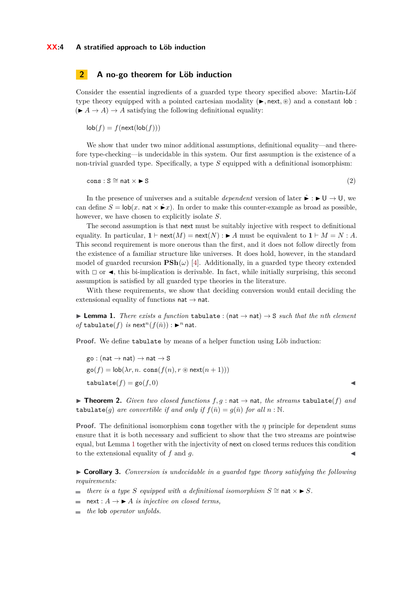# <span id="page-3-0"></span>**2 A no-go theorem for Löb induction**

Consider the essential ingredients of a guarded type theory specified above: Martin-Löf type theory equipped with a pointed cartesian modality  $(\blacktriangleright, \text{next}, \circledast)$  and a constant lob:  $(A \rightarrow A) \rightarrow A$  satisfying the following definitional equality:

 $\mathsf{lob}(f) = f(\mathsf{next}(\mathsf{lob}(f)))$ 

We show that under two minor additional assumptions, definitional equality—and therefore type-checking—is undecidable in this system. Our first assumption is the existence of a non-trivial guarded type. Specifically, a type *S* equipped with a definitional isomorphism:

 $\text{cons} : S \cong \text{nat} \times \blacktriangleright S$  (2)

In the presence of universes and a suitable *dependent* version of later  $\hat{\mathbf{r}} : \mathbf{U} \to \mathbf{U}$ , we can define  $S = \text{lob}(x, \text{nat} \times \hat{\bullet} x)$ . In order to make this counter-example as broad as possible, however, we have chosen to explicitly isolate *S*.

The second assumption is that next must be suitably injective with respect to definitional equality. In particular,  $\mathbf{1} \vdash \text{next}(M) = \text{next}(N) : \blacktriangleright A$  must be equivalent to  $\mathbf{1} \vdash M = N : A$ . This second requirement is more onerous than the first, and it does not follow directly from the existence of a familiar structure like universes. It does hold, however, in the standard model of guarded recursion  $\mathbf{PSh}(\omega)$  [\[4\]](#page-15-0). Additionally, in a guarded type theory extended with  $\Box$  or  $\blacktriangleleft$ , this bi-implication is derivable. In fact, while initially surprising, this second assumption is satisfied by all guarded type theories in the literature.

With these requirements, we show that deciding conversion would entail deciding the extensional equality of functions  $nat \rightarrow nat$ .

<span id="page-3-1"></span> $\blacktriangleright$  **Lemma 1.** *There exists a function* tabulate : (nat  $\rightarrow$  nat)  $\rightarrow$  S *such that the nth element*  $of$  tabulate(*f*) *is* next<sup>*n*</sup>(*f*( $\bar{n}$ )) :  $\blacktriangleright^n$  nat.

**Proof.** We define tabulate by means of a helper function using Löb induction:

 $\text{go} : (\text{nat} \rightarrow \text{nat}) \rightarrow \text{nat} \rightarrow \text{S}$  $\operatorname{go}(f) = \operatorname{lob}(\lambda r, n. \operatorname{cons}(f(n), r \otimes \operatorname{next}(n + 1)))$  $\tt tabulate(f) = go(f, 0)$ 

▶ **Theorem 2.** *Given two closed functions*  $f, g : \text{nat} \rightarrow \text{nat}$ *, the streams* tabulate(*f*) *and* tabulate(*g*) *are convertible if and only if*  $f(\bar{n}) = g(\bar{n})$  *for all*  $n : \mathbb{N}$ .

**Proof.** The definitional isomorphism cons together with the *η* principle for dependent sums ensure that it is both necessary and sufficient to show that the two streams are pointwise equal, but Lemma [1](#page-3-1) together with the injectivity of next on closed terms reduces this condition to the extensional equality of f and q.

<span id="page-3-2"></span> $\triangleright$  **Corollary 3.** *Conversion is undecidable in a quarded type theory satisfying the following requirements:*

 $\bullet$  *there is a type S equipped with a definitional isomorphism S*  $\cong$  nat  $\times$  ► *S.* 

- $\blacksquare$  next :  $A \rightarrow \blacktriangleright A$  *is injective on closed terms,*
- *the* lob *operator unfolds.* $\rightarrow$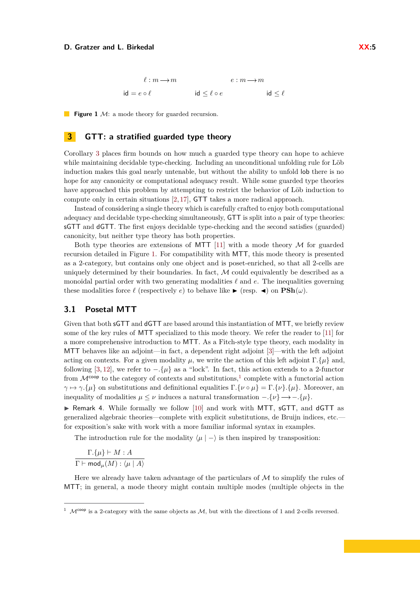*`* : *m m e* : *m m* id = *e* ◦ *`* id ≤ *`* ◦ *e* id ≤ *`*

<span id="page-4-1"></span>**Figure 1** M: a mode theory for guarded recursion.

# <span id="page-4-0"></span>**3 GTT: a stratified guarded type theory**

Corollary [3](#page-3-2) places firm bounds on how much a guarded type theory can hope to achieve while maintaining decidable type-checking. Including an unconditional unfolding rule for Löb induction makes this goal nearly untenable, but without the ability to unfold lob there is no hope for any canonicity or computational adequacy result. While some guarded type theories have approached this problem by attempting to restrict the behavior of Löb induction to compute only in certain situations [\[2,](#page-14-1) [17\]](#page-15-8), GTT takes a more radical approach.

Instead of considering a single theory which is carefully crafted to enjoy both computational adequacy and decidable type-checking simultaneously, GTT is split into a pair of type theories: sGTT and dGTT. The first enjoys decidable type-checking and the second satisfies (guarded) canonicity, but neither type theory has both properties.

Both type theories are extensions of MTT [\[11\]](#page-15-5) with a mode theory  $\mathcal M$  for guarded recursion detailed in Figure [1.](#page-4-1) For compatibility with MTT, this mode theory is presented as a 2-category, but contains only one object and is poset-enriched, so that all 2-cells are uniquely determined by their boundaries. In fact,  $M$  could equivalently be described as a monoidal partial order with two generating modalities  $\ell$  and  $\epsilon$ . The inequalities governing these modalities force  $\ell$  (respectively *e*) to behave like  $\blacktriangleright$  (resp.  $\blacktriangleleft$ ) on  $\text{PSh}(\omega)$ .

# **3.1 Posetal MTT**

Given that both sGTT and dGTT are based around this instantiation of MTT, we briefly review some of the key rules of MTT specialized to this mode theory. We refer the reader to [\[11\]](#page-15-5) for a more comprehensive introduction to MTT. As a Fitch-style type theory, each modality in MTT behaves like an adjoint—in fact, a dependent right adjoint [\[3\]](#page-15-7)—with the left adjoint acting on contexts. For a given modality  $\mu$ , we write the action of this left adjoint  $\Gamma$ *.*{ $\mu$ } and, following [\[3,](#page-15-7) [12\]](#page-15-9), we refer to  $-\{\mu\}$  as a "lock". In fact, this action extends to a 2-functor from  $\mathcal{M}^{\text{coop}}$  to the category of contexts and substitutions,<sup>[1](#page-4-2)</sup> complete with a functorial action *γ*  $\rightarrow$  *γ*.*{µ*} on substitutions and definitional equalities Γ.{*ν* ο *µ*} = Γ.{*ν*}*.*{*µ*}. Moreover, an inequality of modalities  $\mu \leq \nu$  induces a natural transformation  $-\{\nu\} \longrightarrow -\{\mu\}.$ 

 $\triangleright$  Remark 4. While formally we follow [\[10\]](#page-15-6) and work with MTT, sGTT, and dGTT as generalized algebraic theories—complete with explicit substitutions, de Bruijn indices, etc. for exposition's sake with work with a more familiar informal syntax in examples.

The introduction rule for the modality  $\langle \mu | - \rangle$  is then inspired by transposition:

$$
\frac{\Gamma.\{\mu\} \vdash M : A}{\Gamma \vdash \mathsf{mod}_{\mu}(M) : \langle \mu \mid A \rangle}
$$

Here we already have taken advantage of the particulars of  $\mathcal M$  to simplify the rules of MTT; in general, a mode theory might contain multiple modes (multiple objects in the

<span id="page-4-2"></span><sup>&</sup>lt;sup>1</sup>  $\mathcal{M}^{\text{coop}}$  is a 2-category with the same objects as  $\mathcal{M}$ , but with the directions of 1 and 2-cells reversed.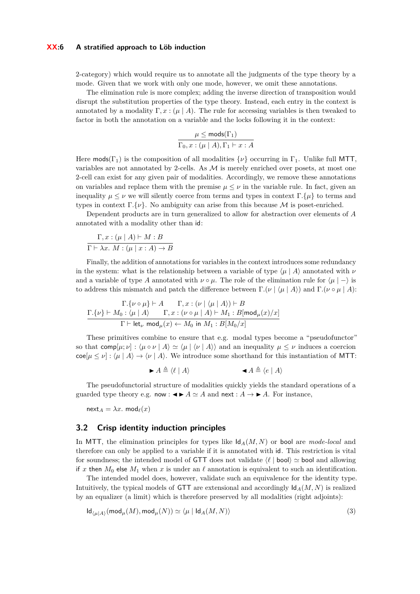#### **XX:6 A stratified approach to Löb induction**

2-category) which would require us to annotate all the judgments of the type theory by a mode. Given that we work with only one mode, however, we omit these annotations.

The elimination rule is more complex; adding the inverse direction of transposition would disrupt the substitution properties of the type theory. Instead, each entry in the context is annotated by a modality  $\Gamma, x : (\mu \mid A)$ . The rule for accessing variables is then tweaked to factor in both the annotation on a variable and the locks following it in the context:

$$
\frac{\mu \leq \text{mods}(\Gamma_1)}{\Gamma_0, x : (\mu \mid A), \Gamma_1 \vdash x : A}
$$

Here mods( $\Gamma_1$ ) is the composition of all modalities  $\{\nu\}$  occurring in  $\Gamma_1$ . Unlike full MTT, variables are not annotated by 2-cells. As  $\mathcal M$  is merely enriched over posets, at most one 2-cell can exist for any given pair of modalities. Accordingly, we remove these annotations on variables and replace them with the premise  $\mu \leq \nu$  in the variable rule. In fact, given an inequality  $\mu \leq \nu$  we will silently coerce from terms and types in context Γ. $\{\mu\}$  to terms and types in context  $\Gamma$ *{v}*. No ambiguity can arise from this because M is poset-enriched.

Dependent products are in turn generalized to allow for abstraction over elements of *A* annotated with a modality other than id:

$$
\frac{\Gamma, x : (\mu \mid A) \vdash M : B}{\Gamma \vdash \lambda x. M : (\mu \mid x : A) \to B}
$$

Finally, the addition of annotations for variables in the context introduces some redundancy in the system: what is the relationship between a variable of type  $\langle \mu | A \rangle$  annotated with  $\nu$ and a variable of type *A* annotated with  $\nu \circ \mu$ . The role of the elimination rule for  $\langle \mu | - \rangle$  is to address this mismatch and patch the difference between Γ.( $\nu \mid \langle \mu \mid A \rangle$ ) and Γ.( $\nu \circ \mu \mid A$ ):

$$
\frac{\Gamma.\{\nu \circ \mu\} \vdash A \qquad \Gamma, x : (\nu \mid \langle \mu \mid A \rangle) \vdash B}{\Gamma \vdash M_0 : \langle \mu \mid A \rangle \qquad \Gamma, x : (\nu \circ \mu \mid A) \vdash M_1 : B[\text{mod}_{\mu}(x)/x]}{\Gamma \vdash \text{let}_{\nu} \text{ mod}_{\mu}(x) \leftarrow M_0 \text{ in } M_1 : B[M_0/x]}
$$

These primitives combine to ensure that e.g. modal types become a "pseudofunctor" so that comp[ $\mu$ ;  $\nu$ ] :  $\langle \mu \circ \nu | A \rangle \simeq \langle \mu | \langle \nu | A \rangle \rangle$  and an inequality  $\mu \leq \nu$  induces a coercion  $\text{coe}[\mu \leq \nu] : \langle \mu | A \rangle \rightarrow \langle \nu | A \rangle$ . We introduce some shorthand for this instantiation of MTT:

<span id="page-5-0"></span> $\blacktriangleright$   $A \triangleq \langle \ell | A \rangle$   $\blacktriangleleft A \triangleq \langle e | A \rangle$ 

The pseudofunctorial structure of modalities quickly yields the standard operations of a guarded type theory e.g. now :  $\blacktriangle \blacktriangleright A \simeq A$  and next :  $A \rightarrow \blacktriangleright A$ . For instance,

 $next_A = \lambda x$ . mod $\ell(x)$ 

### **3.2 Crisp identity induction principles**

In MTT, the elimination principles for types like  $\mathsf{Id}_A(M, N)$  or bool are *mode-local* and therefore can only be applied to a variable if it is annotated with id. This restriction is vital for soundness; the intended model of GTT does not validate  $\langle \ell |$  bool)  $\simeq$  bool and allowing if *x* then  $M_0$  else  $M_1$  when *x* is under an  $\ell$  annotation is equivalent to such an identification.

The intended model does, however, validate such an equivalence for the identity type. Intuitively, the typical models of **GTT** are extensional and accordingly  $\mathsf{Id}_A(M, N)$  is realized by an equalizer (a limit) which is therefore preserved by all modalities (right adjoints):

$$
Id_{\langle \mu | A \rangle}(\text{mod}_{\mu}(M), \text{mod}_{\mu}(N)) \simeq \langle \mu | Id_{A}(M, N) \rangle \tag{3}
$$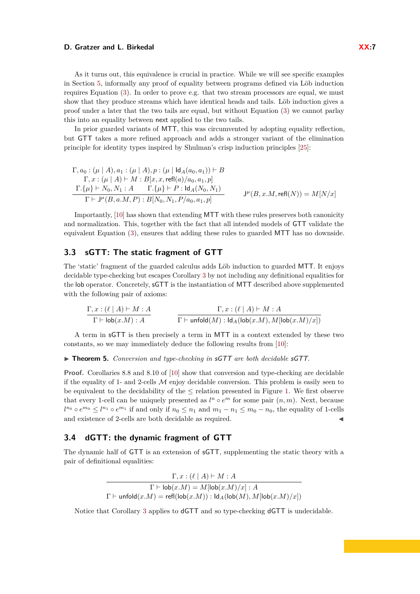As it turns out, this equivalence is crucial in practice. While we will see specific examples in Section [5,](#page-11-0) informally any proof of equality between programs defined via Löb induction requires Equation [\(3\)](#page-5-0). In order to prove e.g. that two stream processors are equal, we must show that they produce streams which have identical heads and tails. Löb induction gives a proof under a later that the two tails are equal, but without Equation [\(3\)](#page-5-0) we cannot parlay this into an equality between next applied to the two tails.

In prior guarded variants of MTT, this was circumvented by adopting equality reflection, but GTT takes a more refined approach and adds a stronger variant of the elimination principle for identity types inspired by Shulman's crisp induction principles [\[25\]](#page-16-3):

$$
\Gamma, a_0: (\mu | A), a_1: (\mu | A), p: (\mu | \mathrm{Id}_A(a_0, a_1)) \vdash B \n\Gamma, x: (\mu | A) \vdash M: B[x, x, \mathrm{refl}(a)/a_0, a_1, p] \n\frac{\Gamma.\{\mu\} \vdash N_0, N_1: A \qquad \Gamma.\{\mu\} \vdash P: \mathrm{Id}_A(N_0, N_1)}{\Gamma \vdash \mathrm{J}^{\mu}(B, a.M, P): B[N_0, N_1, P/a_0, a_1, p]} \qquad \mathrm{J}^{\mu}(B, x.M, \mathrm{refl}(N)) = M[N/x]
$$

Importantly, [\[10\]](#page-15-6) has shown that extending MTT with these rules preserves both canonicity and normalization. This, together with the fact that all intended models of GTT validate the equivalent Equation [\(3\)](#page-5-0), ensures that adding these rules to guarded MTT has no downside.

# **3.3 sGTT: The static fragment of GTT**

The 'static' fragment of the guarded calculus adds Löb induction to guarded MTT. It enjoys decidable type-checking but escapes Corollary [3](#page-3-2) by not including any definitional equalities for the lob operator. Concretely, sGTT is the instantiation of MTT described above supplemented with the following pair of axioms:

$$
\frac{\Gamma, x : (\ell \mid A) \vdash M : A}{\Gamma \vdash \mathsf{lob}(x.M) : A} \qquad \qquad \frac{\Gamma, x : (\ell \mid A) \vdash M : A}{\Gamma \vdash \mathsf{unfold}(M) : \mathsf{Id}_A(\mathsf{lob}(x.M), M[\mathsf{lob}(x.M)/x])}
$$

A term in sGTT is then precisely a term in MTT in a context extended by these two constants, so we may immediately deduce the following results from [\[10\]](#page-15-6):

<span id="page-6-1"></span>▶ **Theorem 5.** *Conversion and type-checking in* sGTT *are both decidable* sGTT.

**Proof.** Corollaries 8.8 and 8.10 of [\[10\]](#page-15-6) show that conversion and type-checking are decidable if the equality of 1- and 2-cells  $M$  enjoy decidable conversion. This problem is easily seen to be equivalent to the decidability of the  $\leq$  relation presented in Figure [1.](#page-4-1) We first observe that every 1-cell can be uniquely presented as  $l^n \circ e^m$  for some pair  $(n, m)$ . Next, because *l*<sup>*n*0</sup> ◦ *e*<sup>*m*0</sup> ≤ *l*<sup>*n*<sub>1</sub></sup> ◦ *e*<sup>*m*<sub>1</sub></sup> if and only if *n*<sub>0</sub> ≤ *n*<sub>1</sub> and *m*<sub>1</sub> − *n*<sub>1</sub> ≤ *m*<sub>0</sub> − *n*<sub>0</sub>, the equality of 1-cells and existence of 2-cells are both decidable as required.

## <span id="page-6-0"></span>**3.4 dGTT: the dynamic fragment of GTT**

The dynamic half of GTT is an extension of sGTT, supplementing the static theory with a pair of definitional equalities:

> $\Gamma, x : (\ell | A) \vdash M : A$  $\Gamma \vdash \textsf{lob}(x.M) = M[\textsf{lob}(x.M)/x] : A$  $\Gamma \vdash \textsf{unfold}(x.M) = \textsf{refl}(\textsf{lob}(x.M)) : \textsf{Id}_A(\textsf{lob}(M), M[\textsf{lob}(x.M)/x])$

Notice that Corollary [3](#page-3-2) applies to dGTT and so type-checking dGTT is undecidable.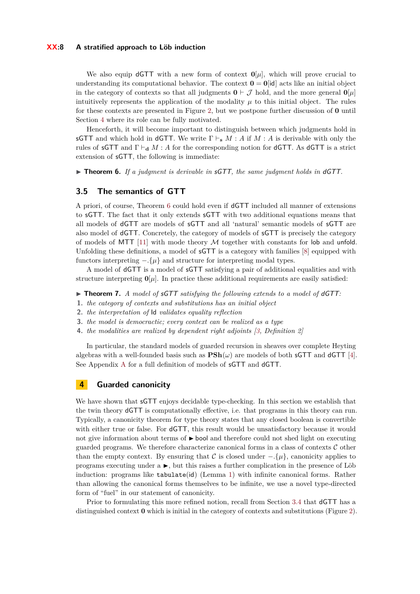#### **XX:8 A stratified approach to Löb induction**

We also equip **dGTT** with a new form of context  $\mathbf{0}[\mu]$ , which will prove crucial to understanding its computational behavior. The context  $\mathbf{0} = \mathbf{0}$  [id] acts like an initial object in the category of contexts so that all judgments  $\mathbf{0} \vdash \mathcal{J}$  hold, and the more general  $\mathbf{0}[\mu]$ intuitively represents the application of the modality  $\mu$  to this initial object. The rules for these contexts are presented in Figure [2,](#page-8-0) but we postpone further discussion of **0** until Section [4](#page-7-0) where its role can be fully motivated.

Henceforth, it will become important to distinguish between which judgments hold in sGTT and which hold in dGTT. We write  $\Gamma \vdash_{\mathbf{s}} M : A$  if  $M : A$  is derivable with only the rules of sGTT and  $\Gamma \vdash_{d} M : A$  for the corresponding notion for dGTT. As dGTT is a strict extension of sGTT, the following is immediate:

<span id="page-7-1"></span>▶ **Theorem 6.** *If a judgment is derivable in* sGTT, the same judgment holds in dGTT.

### **3.5 The semantics of GTT**

A priori, of course, Theorem [6](#page-7-1) could hold even if dGTT included all manner of extensions to sGTT. The fact that it only extends sGTT with two additional equations means that all models of dGTT are models of sGTT and all 'natural' semantic models of sGTT are also model of dGTT. Concretely, the category of models of sGTT is precisely the category of models of MTT  $[11]$  with mode theory  $M$  together with constants for lob and unfold. Unfolding these definitions, a model of sGTT is a category with families [\[8\]](#page-15-10) equipped with functors interpreting  $-\{ \mu \}$  and structure for interpreting modal types.

A model of dGTT is a model of sGTT satisfying a pair of additional equalities and with structure interpreting  $\mathbf{0}[\mu]$ . In practice these additional requirements are easily satisfied:

<span id="page-7-2"></span>▶ **Theorem 7.** *A model of sGTT satisfying the following extends to a model of dGTT:* 

- **1.** *the category of contexts and substitutions has an initial object*
- **2.** *the interpretation of* Id *validates equality reflection*
- **3.** *the model is democractic; every context can be realized as a type*
- **4.** *the modalities are realized by dependent right adjoints [\[3,](#page-15-7) Definition 2]*

In particular, the standard models of guarded recursion in sheaves over complete Heyting algebras with a well-founded basis such as  $\text{PSh}(\omega)$  are models of both sGTT and dGTT [\[4\]](#page-15-0). See Appendix [A](#page-16-4) for a full definition of models of sGTT and dGTT.

# <span id="page-7-0"></span>**4 Guarded canonicity**

We have shown that **sGTT** enjoys decidable type-checking. In this section we establish that the twin theory dGTT is computationally effective, i.e. that programs in this theory can run. Typically, a canonicity theorem for type theory states that any closed boolean is convertible with either true or false. For **dGTT**, this result would be unsatisfactory because it would not give information about terms of  $\blacktriangleright$  bool and therefore could not shed light on executing guarded programs. We therefore characterize canonical forms in a class of contexts  $\mathcal C$  other than the empty context. By ensuring that C is closed under  $-\{\mu\}$ , canonicity applies to programs executing under  $a \rightarrow$ , but this raises a further complication in the presence of Löb induction: programs like tabulate(id) (Lemma [1\)](#page-3-1) with infinite canonical forms. Rather than allowing the canonical forms themselves to be infinite, we use a novel type-directed form of "fuel" in our statement of canonicity.

Prior to formulating this more refined notion, recall from Section [3.4](#page-6-0) that dGTT has a distinguished context **0** which is initial in the category of contexts and substitutions (Figure [2\)](#page-8-0).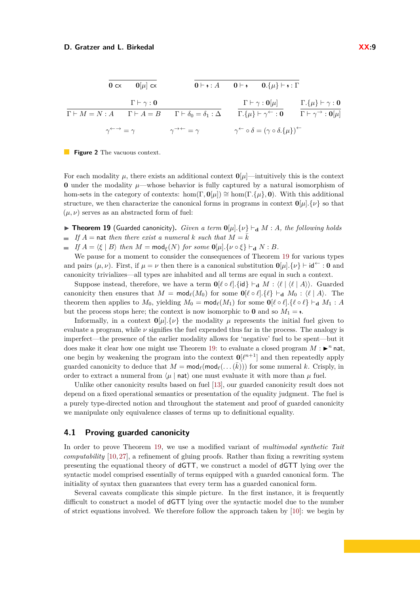<span id="page-8-0"></span>

|                                          | $0 \text{ cx}$ $0 \mu  \text{ cx}$ |                                                                                                                                                                                                                  |                                                                                    | $0 \vdash \mathbf{y} : A$ $0 \vdash \mathbf{y}$ $0.\{\mu\} \vdash \mathbf{y} : \Gamma$ |                                                   |
|------------------------------------------|------------------------------------|------------------------------------------------------------------------------------------------------------------------------------------------------------------------------------------------------------------|------------------------------------------------------------------------------------|----------------------------------------------------------------------------------------|---------------------------------------------------|
| $\Gamma \vdash \gamma : \mathbf{0}$      |                                    |                                                                                                                                                                                                                  | $\Gamma \vdash \gamma : \mathbf{0}[\mu]$                                           |                                                                                        | $\Gamma$ . { $\mu$ } $\vdash \gamma : \mathbf{0}$ |
|                                          |                                    | $\Gamma \vdash M = N : A \qquad \Gamma \vdash A = B \qquad \Gamma \vdash \delta_0 = \delta_1 : \Delta \qquad \Gamma . \{\mu\} \vdash \gamma^{\leftarrow} : 0 \qquad \Gamma \vdash \gamma^{\rightarrow} : 0[\mu]$ |                                                                                    |                                                                                        |                                                   |
| $\gamma \leftarrow \rightarrow = \gamma$ |                                    | $\gamma \rightarrow \leftarrow = \gamma$                                                                                                                                                                         | $\gamma^{\leftarrow} \circ \delta = (\gamma \circ \delta. {\{\mu\}})^{\leftarrow}$ |                                                                                        |                                                   |



For each modality  $\mu$ , there exists an additional context  $\mathbf{0}[\mu]$ —intuitively this is the context **0** under the modality  $\mu$ —whose behavior is fully captured by a natural isomorphism of hom-sets in the category of contexts: hom(Γ,  $\mathbf{0}(\mu) \cong \text{hom}(\Gamma, {\{\mu\},\mathbf{0}})$ . With this additional structure, we then characterize the canonical forms in programs in context  $\mathbf{0}[\mu].\{\nu\}$  so that  $(\mu, \nu)$  serves as an abstracted form of fuel:

**Figure 19** (Guarded canonicity). *Given a term*  $\mathbf{0}[u] \cdot {\{v\}} \vdash_{\mathbf{d}} M : A$ , the following holds **If**  $A = \text{nat}$  *then there exist a numeral*  $k$  *such that*  $M = \overline{k}$ 

 $\blacksquare$  *If*  $A = \langle \xi | B \rangle$  *then*  $M = \text{mod}_{\xi}(N)$  *for some*  $\mathbf{0}[\mu]$ *.*{ $\nu \circ \xi$ }  $\vdash_{\mathbf{d}} N : B$ *.* 

We pause for a moment to consider the consequences of Theorem [19](#page-11-1) for various types and pairs  $(\mu, \nu)$ . First, if  $\mu = \nu$  then there is a canonical substitution  $\mathbf{0}[\mu], {\{\nu\}} \vdash \mathbf{id}^{\leftarrow} : \mathbf{0}$  and canonicity trivializes—all types are inhabited and all terms are equal in such a context.

Suppose instead, therefore, we have a term  $\mathbf{0}[\ell \circ \ell]$ . {id}  $\vdash_{\mathbf{d}} M : \langle \ell | \langle \ell | A \rangle \rangle$ . Guarded canonicity then ensures that  $M = \text{mod}_{\ell}(M_0)$  for some  $\mathbf{0}[\ell \circ \ell] \cdot {\ell} \rightarrow \mathbf{d}$   $M_0 : \langle \ell | A \rangle$ . The theorem then applies to  $M_0$ , yielding  $M_0 = \text{mod}_{\ell}(M_1)$  for some  $\mathbf{0}[\ell \circ \ell] \cdot {\ell \circ \ell} \vdash_{\mathbf{d}} M_1 : A$ but the process stops here; the context is now isomorphic to **0** and so  $M_1 = \gamma$ .

Informally, in a context  $\mathbf{0}[u]$ *.*{*v*} the modality *µ* represents the initial fuel given to evaluate a program, while  $\nu$  signifies the fuel expended thus far in the process. The analogy is imperfect—the presence of the earlier modality allows for 'negative' fuel to be spent—but it does make it clear how one might use Theorem [19:](#page-11-1) to evaluate a closed program  $M : \rightarrow^n \text{nat}$ , one begin by weakening the program into the context  $\mathbf{0}[\ell^{n+1}]$  and then repeatedly apply guarded canonicity to deduce that  $M = \text{mod}_{\ell}(\text{mod}_{\ell}(\ldots(\bar{k})))$  for some numeral *k*. Crisply, in order to extract a numeral from  $\langle \mu |$  nat $\rangle$  one must evaluate it with more than  $\mu$  fuel.

Unlike other canonicity results based on fuel [\[13\]](#page-15-3), our guarded canonicity result does not depend on a fixed operational semantics or presentation of the equality judgment. The fuel is a purely type-directed notion and throughout the statement and proof of guarded canonicity we manipulate only equivalence classes of terms up to definitional equality.

### **4.1 Proving guarded canonicity**

In order to prove Theorem [19,](#page-11-1) we use a modified variant of *multimodal synthetic Tait computability* [\[10,](#page-15-6) [27\]](#page-16-2), a refinement of gluing proofs. Rather than fixing a rewriting system presenting the equational theory of dGTT, we construct a model of dGTT lying over the syntactic model comprised essentially of terms equipped with a guarded canonical form. The initiality of syntax then guarantees that every term has a guarded canonical form.

Several caveats complicate this simple picture. In the first instance, it is frequently difficult to construct a model of dGTT lying over the syntactic model due to the number of strict equations involved. We therefore follow the approach taken by  $[10]$ : we begin by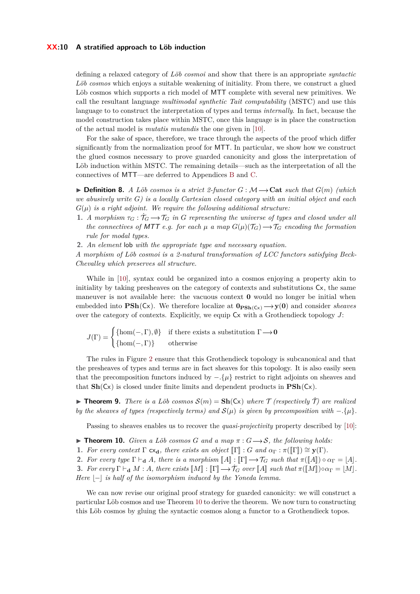### **XX:10 A stratified approach to Löb induction**

defining a relaxed category of *Löb cosmoi* and show that there is an appropriate *syntactic Löb cosmos* which enjoys a suitable weakening of initiality. From there, we construct a glued Löb cosmos which supports a rich model of MTT complete with several new primitives. We call the resultant language *multimodal synthetic Tait computability* (MSTC) and use this language to to construct the interpretation of types and terms *internally*. In fact, because the model construction takes place within MSTC, once this language is in place the construction of the actual model is *mutatis mutandis* the one given in [\[10\]](#page-15-6).

For the sake of space, therefore, we trace through the aspects of the proof which differ significantly from the normalization proof for MTT. In particular, we show how we construct the glued cosmos necessary to prove guarded canonicity and gloss the interpretation of Löb induction within MSTC. The remaining details—such as the interpretation of all the connectives of MTT—are deferred to Appendices [B](#page-17-0) and [C.](#page-18-0)

 $\triangleright$  **Definition 8.** *A Löb cosmos is a strict 2-functor G* :  $\mathcal{M} \rightarrow$  **Cat** *such that*  $G(m)$  *(which we abusively write G) is a locally Cartesian closed category with an initial object and each*  $G(\mu)$  *is a right adjoint. We require the following additional structure:* 

- **1.** *A morphism*  $\tau_G : \mathcal{T}_G \to \mathcal{T}_G$  *in G* representing the universe of types and closed under all *the connectives of MTT e.g. for each*  $\mu$  *a map*  $G(\mu)(\mathcal{T}_G) \rightarrow \mathcal{T}_G$  *encoding the formation rule for modal types.*
- **2.** *An element* lob *with the appropriate type and necessary equation.*

*A morphism of Löb cosmoi is a 2-natural transformation of LCC functors satisfying Beck-Chevalley which preserves all structure.*

While in [\[10\]](#page-15-6), syntax could be organized into a cosmos enjoying a property akin to initiality by taking presheaves on the category of contexts and substitutions  $\mathsf{C}\mathsf{x}$ , the same maneuver is not available here: the vacuous context **0** would no longer be initial when embedded into  $\text{PSh}(C_x)$ . We therefore localize at  $\text{0}_{\text{PSh}(C_x)} \rightarrow y(0)$  and consider *sheaves* over the category of contexts. Explicitly, we equip Cx with a Grothendieck topology *J*:

$$
J(\Gamma) = \begin{cases} {\text{hom}}(-,\Gamma), \emptyset \\ {\text{hom}}(-,\Gamma) \end{cases}
$$
 if there exists a substitution  $\Gamma \to 0$   
otherwise

The rules in Figure [2](#page-8-0) ensure that this Grothendieck topology is subcanonical and that the presheaves of types and terms are in fact sheaves for this topology. It is also easily seen that the precomposition functors induced by −*.*{*µ*} restrict to right adjoints on sheaves and that  $\mathbf{Sh}(Cx)$  is closed under finite limits and dependent products in  $\mathbf{PSh}(Cx)$ .

<span id="page-9-1"></span>**If Theorem 9.** There is a Löb cosmos  $S(m) = \textbf{Sh}(Cx)$  where  $\mathcal{T}$  (respectively  $\mathcal{T}$ ) are realized *by the sheaves of types (respectively terms) and*  $\mathcal{S}(\mu)$  *is given by precomposition with* −*.*{ $\mu$ }*.* 

Passing to sheaves enables us to recover the *quasi-projectivity* property described by [\[10\]](#page-15-6):

- <span id="page-9-0"></span>**Find 10.** *Given a Löb cosmos G and a map*  $\pi$  :  $G \rightarrow S$ , the following holds:
- **1.** For every context  $\Gamma$  **c**x<sub>**d**</sub>*, there exists an object*  $\llbracket \Gamma \rrbracket$  : *G and*  $\alpha_{\Gamma}$  :  $\pi(\llbracket \Gamma \rrbracket) \cong \mathbf{y}(\Gamma)$ *.*
- **2.** *For every type*  $\Gamma \vdash_{\mathbf{d}} A$ *, there is a morphism*  $\llbracket A \rrbracket : \llbracket \Gamma \rrbracket \longrightarrow \mathcal{T}_G$  *such that*  $\pi(\llbracket A \rrbracket) \circ \alpha_{\Gamma} = \llbracket A \rrbracket$ *.*

**3.** *For every*  $\Gamma \vdash_{\mathbf{d}} M : A$ *, there exists*  $\llbracket M \rrbracket : \llbracket \Gamma \rrbracket \longrightarrow \mathcal{T}_G$  *over*  $\llbracket A \rrbracket$  *such that*  $\pi(\llbracket M \rrbracket) \circ \alpha_{\Gamma} = \llbracket M \rrbracket$ *. Here*  $|-|$  *is half of the isomorphism induced by the Yoneda lemma.* 

We can now revise our original proof strategy for guarded canonicity: we will construct a particular Löb cosmos and use Theorem [10](#page-9-0) to derive the theorem. We now turn to constructing this Löb cosmos by gluing the syntactic cosmos along a functor to a Grothendieck topos.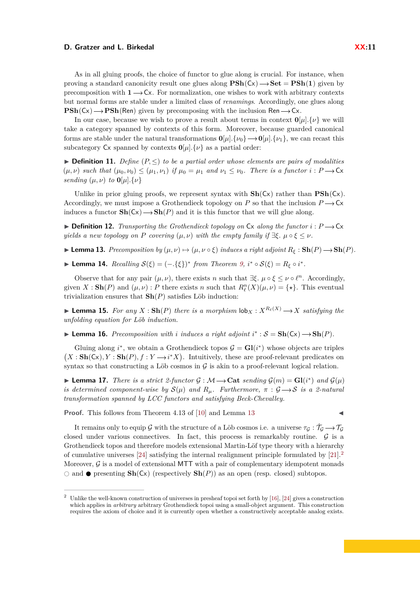As in all gluing proofs, the choice of functor to glue along is crucial. For instance, when proving a standard canonicity result one glues along  $\text{PSh}(C_x) \rightarrow \text{Set} = \text{PSh}(1)$  given by precomposition with  $1 \rightarrow Cx$ . For normalization, one wishes to work with arbitrary contexts but normal forms are stable under a limited class of *renamings*. Accordingly, one glues along  $\text{PSh}(Cx) \rightarrow \text{PSh}(Ren)$  given by precomposing with the inclusion Ren  $\rightarrow$  Cx.

In our case, because we wish to prove a result about terms in context  $\mathbf{0}[u]$ *.*{*v*} we will take a category spanned by contexts of this form. Moreover, because guarded canonical forms are stable under the natural transformations  $\mathbf{0}[\mu].\{\nu_0\} \longrightarrow \mathbf{0}[\mu].\{\nu_1\}$ , we can recast this subcategory  $Cx$  spanned by contexts  $\mathbf{0}[\mu].\{\nu\}$  as a partial order:

**► Definition 11.** Define  $(P, ≤)$  to be a partial order whose elements are pairs of modalities  $(\mu, \nu)$  *such that*  $(\mu_0, \nu_0) \leq (\mu_1, \nu_1)$  *if*  $\mu_0 = \mu_1$  *and*  $\nu_1 \leq \nu_0$ *. There is a functor*  $i : P \rightarrow \mathsf{Cx}$ *sending*  $(\mu, \nu)$  *to*  $\mathbf{0}[\mu]$ *.*{ $\nu$ }

Unlike in prior gluing proofs, we represent syntax with  $\text{Sh}(C_x)$  rather than  $\text{PSh}(C_x)$ . Accordingly, we must impose a Grothendieck topology on *P* so that the inclusion  $P \rightarrow Cx$ induces a functor  $\mathbf{Sh}(C_x) \longrightarrow \mathbf{Sh}(P)$  and it is this functor that we will glue along.

 $\triangleright$  **Definition 12.** *Transporting the Grothendieck topology on* Cx *along the functor*  $i : P \rightarrow Cx$ *yields a new topology on P covering*  $(\mu, \nu)$  *with the empty family if*  $\exists \xi$ .  $\mu \circ \xi \leq \nu$ .

<span id="page-10-0"></span> $\blacktriangleright$  **Lemma 13.** Precomposition by  $(\mu, \nu) \mapsto (\mu, \nu \circ \xi)$  induces a right adjoint  $R_{\xi}: \mathbf{Sh}(P) \longrightarrow \mathbf{Sh}(P)$ .

► **Lemma 14.**  $Recalling S(\xi) = (-\xi)^* from Theorem 9, i^* \circ S(\xi) = R_{\xi} \circ i^*$  $Recalling S(\xi) = (-\xi)^* from Theorem 9, i^* \circ S(\xi) = R_{\xi} \circ i^*$  $Recalling S(\xi) = (-\xi)^* from Theorem 9, i^* \circ S(\xi) = R_{\xi} \circ i^*$ .

Observe that for any pair  $(\mu, \nu)$ , there exists *n* such that  $\exists \xi \, \mu \circ \xi \leq \nu \circ \ell^n$ . Accordingly, given  $X : Sh(P)$  and  $(\mu, \nu) : P$  there exists *n* such that  $R_{\ell}^n(X)(\mu, \nu) = {\star}.$  This eventual trivialization ensures that **Sh**(*P*) satisfies Löb induction:

<span id="page-10-2"></span>**I Lemma 15.** For any  $X : Sh(P)$  there is a morphism  $\text{lob}_X : X^{R_{\ell}(X)} \longrightarrow X$  satisfying the *unfolding equation for Löb induction.*

▶ **Lemma 16.** *Precomposition with i induces a right adjoint*  $i^*$  :  $S = Sh(Cx) \rightarrow Sh(P)$ *.* 

Gluing along  $i^*$ , we obtain a Grothendieck topos  $\mathcal{G} = \mathbf{Gl}(i^*)$  whose objects are triples  $(X : Sh(Cx), Y : Sh(P), f : Y \rightarrow i^*X)$ . Intuitively, these are proof-relevant predicates on syntax so that constructing a Löb cosmos in  $G$  is akin to a proof-relevant logical relation.

► Lemma 17. *There is a strict 2-functor*  $\mathcal{G} : \mathcal{M} \longrightarrow \mathbf{Cat}$  *sending*  $\mathcal{G}(m) = \mathbf{Gl}(i^*)$  *and*  $\mathcal{G}(\mu)$ *is determined component-wise by*  $S(\mu)$  *and*  $R_{\mu}$ . Furthermore,  $\pi : \mathcal{G} \longrightarrow S$  *is a 2-natural transformation spanned by LCC functors and satisfying Beck-Chevalley.*

**Proof.** This follows from Theorem 4.13 of [\[10\]](#page-15-6) and Lemma [13](#page-10-0)

It remains only to equip G with the structure of a Löb cosmos i.e. a universe  $\tau_G : \dot{\mathcal{T}}_G \longrightarrow \mathcal{T}_G$ closed under various connectives. In fact, this process is remarkably routine.  $\mathcal G$  is a Grothendieck topos and therefore models extensional Martin-Löf type theory with a hierarchy of cumulative universes  $[24]$  satisfying the internal realignment principle formulated by  $[21]$ . Moreover,  $\mathcal G$  is a model of extensional MTT with a pair of complementary idempotent monads  $\circ$  and  $\bullet$  presenting  $\text{Sh}(Cx)$  (respectively  $\text{Sh}(P)$ ) as an open (resp. closed) subtopos.

<span id="page-10-1"></span><sup>&</sup>lt;sup>2</sup> Unlike the well-known construction of universes in presheaf topoi set forth by [\[16\]](#page-15-11), [\[24\]](#page-16-5) gives a construction which applies in *arbitrary* arbitrary Grothendieck topoi using a small-object argument. This construction requires the axiom of choice and it is currently open whether a constructively acceptable analog exists.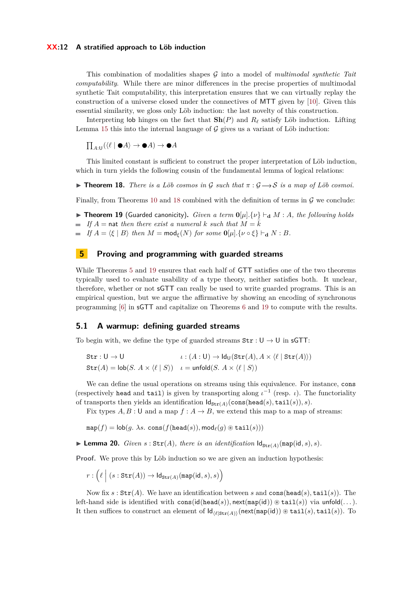#### **XX:12 A stratified approach to Löb induction**

This combination of modalities shapes G into a model of *multimodal synthetic Tait computability*. While there are minor differences in the precise properties of multimodal synthetic Tait computability, this interpretation ensures that we can virtually replay the construction of a universe closed under the connectives of MTT given by [\[10\]](#page-15-6). Given this essential similarity, we gloss only Löb induction: the last novelty of this construction.

Interpreting lob hinges on the fact that  $\mathbf{Sh}(P)$  and  $R_\ell$  satisfy Löb induction. Lifting Lemma [15](#page-10-2) this into the internal language of  $G$  gives us a variant of Löb induction:

 $\prod_{A:U} (\langle \ell | \bullet A \rangle \to \bullet A) \to \bullet A$ 

This limited constant is sufficient to construct the proper interpretation of Löb induction, which in turn yields the following cousin of the fundamental lemma of logical relations:

<span id="page-11-2"></span>**Find 18.** *There is a Löb cosmos in* G *such that*  $\pi : \mathcal{G} \longrightarrow S$  *is a map of Löb cosmoi.* 

<span id="page-11-1"></span>Finally, from Theorems [10](#page-9-0) and [18](#page-11-2) combined with the definition of terms in  $\mathcal G$  we conclude:

**Figure 19** (Guarded canonicity). *Given a term*  $\mathbf{0}[u]$ *,*{ $v$ }  $\vdash_{\mathbf{d}} M$  : *A, the following holds*  $\blacksquare$  *If*  $A = \text{nat}$  *then there exist a numeral k such that*  $M = \overline{k}$ 

*If*  $A = \langle \xi | B \rangle$  *then*  $M = \text{mod}_{\xi}(N)$  *for some*  $\mathbf{0}[\mu], \{ \nu \circ \xi \} \vdash_{\mathbf{d}} N : B$ *.* 

### <span id="page-11-0"></span>**5 Proving and programming with guarded streams**

While Theorems [5](#page-6-1) and [19](#page-11-1) ensures that each half of GTT satisfies one of the two theorems typically used to evaluate usability of a type theory, neither satisfies both. It unclear, therefore, whether or not sGTT can really be used to write guarded programs. This is an empirical question, but we argue the affirmative by showing an encoding of synchronous programming [\[6\]](#page-15-12) in sGTT and capitalize on Theorems [6](#page-7-1) and [19](#page-11-1) to compute with the results.

### <span id="page-11-4"></span>**5.1 A warmup: defining guarded streams**

To begin with, we define the type of guarded streams  $\text{Str} : \mathsf{U} \to \mathsf{U}$  in sGTT:

$$
\begin{aligned}\n\texttt{Str}: \mathsf{U} &\rightarrow \mathsf{U} & \iota: (A: \mathsf{U}) &\rightarrow \mathsf{Id}_{\mathsf{U}}(\texttt{Str}(A), A \times \langle \ell \mid \texttt{Str}(A) \rangle) \\
\texttt{Str}(A) &= \mathsf{lob}(S. \ A \times \langle \ell \mid S \rangle) & \iota = \mathsf{unfold}(S. \ A \times \langle \ell \mid S \rangle)\n\end{aligned}
$$

We can define the usual operations on streams using this equivalence. For instance, cons (respectively head and tail) is given by transporting along  $\iota^{-1}$  (resp.  $\iota$ ). The functoriality of transports then yields an identification  $\mathsf{Id}_{\mathsf{Str}(A)}(\mathsf{cons}(\mathsf{head}(s),\mathsf{tail}(s)),s)$ .

Fix types  $A, B: \mathsf{U}$  and a map  $f: A \to B$ , we extend this map to a map of streams:

 $map(f) = \text{lob}(q, \lambda s, \text{cons}(f(\text{head}(s)), \text{mod}_{\ell}(q) \otimes \text{tail}(s)))$ 

<span id="page-11-3"></span>**Example 20.** *Given*  $s : Str(A)$ *, there is an identification*  $Id_{Str(A)}(map(id, s), s)$ *.* 

**Proof.** We prove this by Löb induction so we are given an induction hypothesis:

 $r : \left(\ell \; \Big| \; (s : \texttt{Str}(A)) \rightarrow \textsf{Id}_{\texttt{Str}(A)}(\texttt{map}(\textsf{id}, s), s)\right)$ 

Now fix  $s : \text{Str}(A)$ . We have an identification between  $s$  and  $\text{cons}(\text{head}(s), \text{tail}(s))$ . The left-hand side is identified with  $\text{cons}(\text{id}(\text{head}(s)), \text{next}(\text{map}(\text{id})) \otimes \text{tail}(s))$  via unfold $(\dots)$ . It then suffices to construct an element of  $\mathsf{Id}_{(\ell \mid \text{Str}(A))}(\text{next}(\text{map}(d)) \otimes \text{tail}(s), \text{tail}(s)).$  To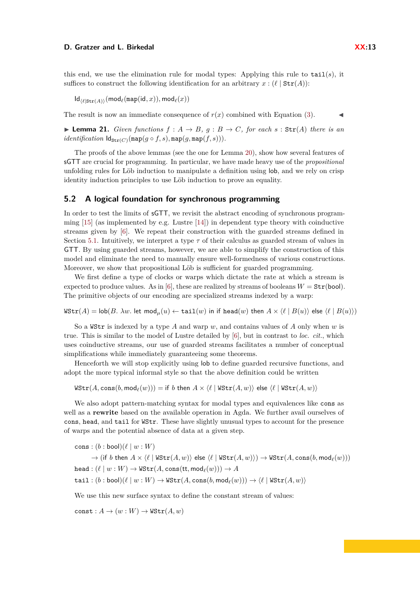this end, we use the elimination rule for modal types: Applying this rule to  $\text{tail}(s)$ , it suffices to construct the following identification for an arbitrary  $x : (\ell \mid \text{Str}(A))$ :

 $Id_{\ell(\ell\mid \text{Str}(A))}(\text{mod}_{\ell}(\text{map}(\text{id}, x)), \text{mod}_{\ell}(x))$ 

The result is now an immediate consequence of  $r(x)$  combined with Equation [\(3\)](#page-5-0).

▶ **Lemma 21.** *Given functions*  $f : A \rightarrow B$ *, g* :  $B \rightarrow C$ *, for each*  $s : \text{Str}(A)$  *there is an*  $identity (of, s)$ ,  $\text{Id}_{\text{Str}(C)}(\text{map}(q \circ f, s), \text{map}(q, \text{map}(f, s))).$ 

The proofs of the above lemmas (see the one for Lemma [20\)](#page-11-3), show how several features of sGTT are crucial for programming. In particular, we have made heavy use of the *propositional* unfolding rules for Löb induction to manipulate a definition using lob, and we rely on crisp identity induction principles to use Löb induction to prove an equality.

### **5.2 A logical foundation for synchronous programming**

In order to test the limits of sGTT, we revisit the abstract encoding of synchronous programming  $[15]$  (as implemented by e.g. Lustre  $[14]$ ) in dependent type theory with coinductive streams given by [\[6\]](#page-15-12). We repeat their construction with the guarded streams defined in Section [5.1.](#page-11-4) Intuitively, we interpret a type  $\tau$  of their calculus as guarded stream of values in GTT. By using guarded streams, however, we are able to simplify the construction of this model and eliminate the need to manually ensure well-formedness of various constructions. Moreover, we show that propositional Löb is sufficient for guarded programming.

We first define a type of clocks or warps which dictate the rate at which a stream is expected to produce values. As in [\[6\]](#page-15-12), these are realized by streams of booleans  $W = \text{Str}(\text{bool})$ . The primitive objects of our encoding are specialized streams indexed by a warp:

 $WStr(A) = \text{lob}(B, \lambda w. \text{ let } \text{mod}_{\mu}(u) \leftarrow \text{tail}(w) \text{ in if } \text{head}(w) \text{ then } A \times \langle \ell | B(u) \rangle \text{ else } \langle \ell | B(u) \rangle$ 

So a WStr is indexed by a type *A* and warp *w*, and contains values of *A* only when *w* is true. This is similar to the model of Lustre detailed by [\[6\]](#page-15-12), but in contrast to *loc. cit.*, which uses coinductive streams, our use of guarded streams facilitates a number of conceptual simplifications while immediately guaranteeing some theorems.

Henceforth we will stop explicitly using lob to define guarded recursive functions, and adopt the more typical informal style so that the above definition could be written

 $WStr(A, \text{cons}(b, \text{mod}_{\ell}(w))) = \text{if } b \text{ then } A \times \langle \ell | Wstr(A, w) \rangle$  else  $\langle \ell | Wstr(A, w) \rangle$ 

We also adopt pattern-matching syntax for modal types and equivalences like cons as well as a **rewrite** based on the available operation in Agda. We further avail ourselves of cons, head, and tail for WStr. These have slightly unusual types to account for the presence of warps and the potential absence of data at a given step.

 $\cosh : (b : \text{bool})(\ell | w : W)$ 

 $\rightarrow$  (if *b* then  $A \times \langle \ell | W\text{Str}(A, w) \rangle$  else  $\langle \ell | W\text{Str}(A, w) \rangle$ )  $\rightarrow W\text{Str}(A, \text{cons}(b, \text{mod}_{\ell}(w)))$  $head: (\ell | w: W) \rightarrow WStr(A, \text{cons}(\text{tt}, \text{mod}_{\ell}(w))) \rightarrow A$  $\text{tail}: (b : \text{bool})(\ell | w : W) \to \text{WStr}(A, \text{cons}(b, \text{mod}_{\ell}(w))) \to \langle \ell | \text{WStr}(A, w) \rangle$ 

We use this new surface syntax to define the constant stream of values:

 $const: A \rightarrow (w:W) \rightarrow Wstr(A,w)$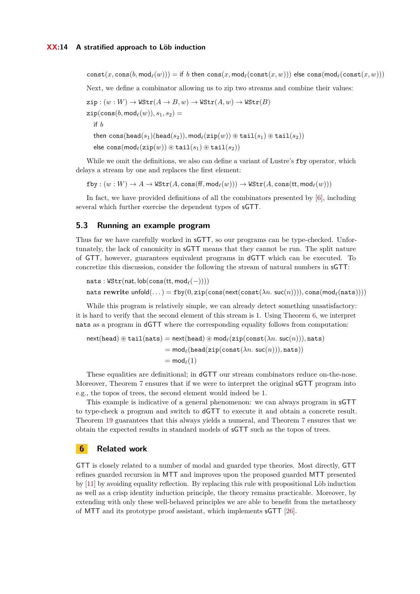$\text{const}(x, \text{cons}(b, \text{mod}_{\ell}(w))) = \text{if } b \text{ then } \text{cons}(x, \text{mod}_{\ell}(\text{const}(x, w)))$  else  $\text{cons}(\text{mod}_{\ell}(\text{const}(x, w)))$ 

Next, we define a combinator allowing us to zip two streams and combine their values:

 $\mathsf{zip} : (w : W) \to \mathsf{WStr}(A \to B, w) \to \mathsf{WStr}(A, w) \to \mathsf{WStr}(B)$ 

 $zip(\text{cons}(b, \text{mod}_{\ell}(w)), s_1, s_2) =$ 

if *b*

then cons(head( $s_1$ )(head( $s_2$ )), mod<sub> $\ell$ </sub>(zip(w))  $\circledast$  tail( $s_1$ )  $\circledast$  tail( $s_2$ ))

```
\text{else cons}(\text{mod}_{\ell}(\text{zip}(w)) \circledast \text{tail}(s_1) \circledast \text{tail}(s_2))
```
While we omit the definitions, we also can define a variant of Lustre's  $f$  by operator, which delays a stream by one and replaces the first element:

 $fby: (w:W) \to A \to WStr(A, \text{cons}(ff, \text{mod}_{\ell}(w))) \to WStr(A, \text{cons}(tt, \text{mod}_{\ell}(w)))$ 

In fact, we have provided definitions of all the combinators presented by [\[6\]](#page-15-12), including several which further exercise the dependent types of sGTT.

### **5.3 Running an example program**

Thus far we have carefully worked in sGTT, so our programs can be type-checked. Unfortunately, the lack of canonicity in sGTT means that they cannot be run. The split nature of GTT, however, guarantees equivalent programs in dGTT which can be executed. To concretize this discussion, consider the following the stream of natural numbers in sGTT:

```
nats : WStr(nat, \text{lob}(\text{cons}(\text{tt}, \text{mod}_{\ell}(-))))
```

```
nats rewrite \text{unfold}(\ldots) = \text{fby}(0, \text{zip}(\text{cons}(\text{next}(\text{const}(\lambda n, \text{succ}(n))))), \text{cons}(\text{mod}_{\ell}(\text{nats}))))
```
While this program is relatively simple, we can already detect something unsatisfactory: it is hard to verify that the second element of this stream is 1. Using Theorem [6,](#page-7-1) we interpret nats as a program in dGTT where the corresponding equality follows from computation:

```
next(head) \circledast tail(nats) = next(head) \circledast mod_{\ell}(zip(const(\lambda n. suc(n))), nats)= mod<sub>\ell</sub>(head(zip(const(\lambda n. suc(n))), nats))
                                   = mod<sub>c</sub>(1)
```
These equalities are definitional; in dGTT our stream combinators reduce on-the-nose. Moreover, Theorem [7](#page-7-2) ensures that if we were to interpret the original **sGTT** program into e.g., the topos of trees, the second element would indeed be 1.

This example is indicative of a general phenomenon: we can always program in sGTT to type-check a program and switch to dGTT to execute it and obtain a concrete result. Theorem [19](#page-11-1) guarantees that this always yields a numeral, and Theorem [7](#page-7-2) ensures that we obtain the expected results in standard models of sGTT such as the topos of trees.

### **6 Related work**

GTT is closely related to a number of modal and guarded type theories. Most directly, GTT refines guarded recursion in MTT and improves upon the proposed guarded MTT presented by [\[11\]](#page-15-5) by avoiding equality reflection. By replacing this rule with propositional Löb induction as well as a crisp identity induction principle, the theory remains practicable. Moreover, by extending with only these well-behaved principles we are able to benefit from the metatheory of MTT and its prototype proof assistant, which implements sGTT [\[26\]](#page-16-7).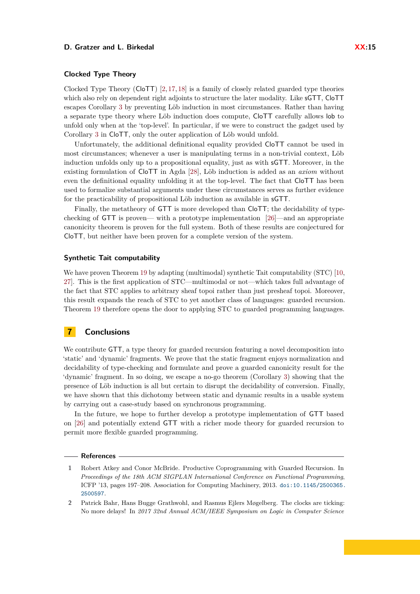Clocked Type Theory (CloTT) [\[2,](#page-14-1) [17,](#page-15-8) [18\]](#page-15-15) is a family of closely related guarded type theories which also rely on dependent right adjoints to structure the later modality. Like sGTT, CloTT escapes Corollary [3](#page-3-2) by preventing Löb induction in most circumstances. Rather than having a separate type theory where Löb induction does compute, CloTT carefully allows lob to unfold only when at the 'top-level'. In particular, if we were to construct the gadget used by Corollary [3](#page-3-2) in CloTT, only the outer application of Löb would unfold.

Unfortunately, the additional definitional equality provided CloTT cannot be used in most circumstances; whenever a user is manipulating terms in a non-trivial context, Löb induction unfolds only up to a propositional equality, just as with sGTT. Moreover, in the existing formulation of CloTT in Agda [\[28\]](#page-16-8), Löb induction is added as an *axiom* without even the definitional equality unfolding it at the top-level. The fact that CloTT has been used to formalize substantial arguments under these circumstances serves as further evidence for the practicability of propositional Löb induction as available in sGTT.

Finally, the metatheory of GTT is more developed than CloTT; the decidability of typechecking of GTT is proven— with a prototype implementation [\[26\]](#page-16-7)—and an appropriate canonicity theorem is proven for the full system. Both of these results are conjectured for CloTT, but neither have been proven for a complete version of the system.

### **Synthetic Tait computability**

We have proven Theorem [19](#page-11-1) by adapting (multimodal) synthetic Tait computability (STC) [\[10,](#page-15-6) [27\]](#page-16-2). This is the first application of STC—multimodal or not—which takes full advantage of the fact that STC applies to arbitrary sheaf topoi rather than just presheaf topoi. Moreover, this result expands the reach of STC to yet another class of languages: guarded recursion. Theorem [19](#page-11-1) therefore opens the door to applying STC to guarded programming languages.

# **7 Conclusions**

We contribute GTT, a type theory for guarded recursion featuring a novel decomposition into 'static' and 'dynamic' fragments. We prove that the static fragment enjoys normalization and decidability of type-checking and formulate and prove a guarded canonicity result for the 'dynamic' fragment. In so doing, we escape a no-go theorem (Corollary [3\)](#page-3-2) showing that the presence of Löb induction is all but certain to disrupt the decidability of conversion. Finally, we have shown that this dichotomy between static and dynamic results in a usable system by carrying out a case-study based on synchronous programming.

In the future, we hope to further develop a prototype implementation of GTT based on [\[26\]](#page-16-7) and potentially extend GTT with a richer mode theory for guarded recursion to permit more flexible guarded programming.

### **References**

<span id="page-14-0"></span>**<sup>1</sup>** Robert Atkey and Conor McBride. Productive Coprogramming with Guarded Recursion. In *Proceedings of the 18th ACM SIGPLAN International Conference on Functional Programming*, ICFP '13, pages 197–208. Association for Computing Machinery, 2013. [doi:10.1145/2500365.](https://doi.org/10.1145/2500365.2500597) [2500597](https://doi.org/10.1145/2500365.2500597).

<span id="page-14-1"></span>**<sup>2</sup>** Patrick Bahr, Hans Bugge Grathwohl, and Rasmus Ejlers Møgelberg. The clocks are ticking: No more delays! In *2017 32nd Annual ACM/IEEE Symposium on Logic in Computer Science*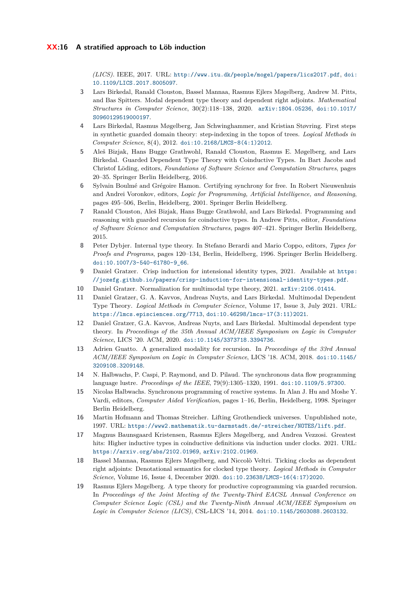*(LICS)*. IEEE, 2017. URL: <http://www.itu.dk/people/mogel/papers/lics2017.pdf>, [doi:](https://doi.org/10.1109/LICS.2017.8005097) [10.1109/LICS.2017.8005097](https://doi.org/10.1109/LICS.2017.8005097).

- <span id="page-15-7"></span>**3** Lars Birkedal, Ranald Clouston, Bassel Mannaa, Rasmus Ejlers Møgelberg, Andrew M. Pitts, and Bas Spitters. Modal dependent type theory and dependent right adjoints. *Mathematical Structures in Computer Science*, 30(2):118–138, 2020. [arXiv:1804.05236](http://arxiv.org/abs/1804.05236), [doi:10.1017/](https://doi.org/10.1017/S0960129519000197) [S0960129519000197](https://doi.org/10.1017/S0960129519000197).
- <span id="page-15-0"></span>**4** Lars Birkedal, Rasmus Møgelberg, Jan Schwinghammer, and Kristian Støvring. First steps in synthetic guarded domain theory: step-indexing in the topos of trees. *Logical Methods in Computer Science*, 8(4), 2012. [doi:10.2168/LMCS-8\(4:1\)2012](https://doi.org/10.2168/LMCS-8(4:1)2012).
- <span id="page-15-1"></span>**5** Aleš Bizjak, Hans Bugge Grathwohl, Ranald Clouston, Rasmus E. Møgelberg, and Lars Birkedal. Guarded Dependent Type Theory with Coinductive Types. In Bart Jacobs and Christof Löding, editors, *Foundations of Software Science and Computation Structures*, pages 20–35. Springer Berlin Heidelberg, 2016.
- <span id="page-15-12"></span>**6** Sylvain Boulmé and Grégoire Hamon. Certifying synchrony for free. In Robert Nieuwenhuis and Andrei Voronkov, editors, *Logic for Programming, Artificial Intelligence, and Reasoning*, pages 495–506, Berlin, Heidelberg, 2001. Springer Berlin Heidelberg.
- <span id="page-15-2"></span>**7** Ranald Clouston, Aleš Bizjak, Hans Bugge Grathwohl, and Lars Birkedal. Programming and reasoning with guarded recursion for coinductive types. In Andrew Pitts, editor, *Foundations of Software Science and Computation Structures*, pages 407–421. Springer Berlin Heidelberg, 2015.
- <span id="page-15-10"></span>**8** Peter Dybjer. Internal type theory. In Stefano Berardi and Mario Coppo, editors, *Types for Proofs and Programs*, pages 120–134, Berlin, Heidelberg, 1996. Springer Berlin Heidelberg. [doi:10.1007/3-540-61780-9\\_66](https://doi.org/10.1007/3-540-61780-9_66).
- <span id="page-15-16"></span>**9** Daniel Gratzer. Crisp induction for intensional identity types, 2021. Available at [https:](https://jozefg.github.io/papers/crisp-induction-for-intensional-identity-types.pdf) [//jozefg.github.io/papers/crisp-induction-for-intensional-identity-types.pdf](https://jozefg.github.io/papers/crisp-induction-for-intensional-identity-types.pdf).
- <span id="page-15-6"></span>**10** Daniel Gratzer. Normalization for multimodal type theory, 2021. [arXiv:2106.01414](http://arxiv.org/abs/2106.01414).
- <span id="page-15-5"></span>**11** Daniel Gratzer, G. A. Kavvos, Andreas Nuyts, and Lars Birkedal. Multimodal Dependent Type Theory. *Logical Methods in Computer Science*, Volume 17, Issue 3, July 2021. URL: <https://lmcs.episciences.org/7713>, [doi:10.46298/lmcs-17\(3:11\)2021](https://doi.org/10.46298/lmcs-17(3:11)2021).
- <span id="page-15-9"></span>**12** Daniel Gratzer, G.A. Kavvos, Andreas Nuyts, and Lars Birkedal. Multimodal dependent type theory. In *Proceedings of the 35th Annual ACM/IEEE Symposium on Logic in Computer Science*, LICS '20. ACM, 2020. [doi:10.1145/3373718.3394736](https://doi.org/10.1145/3373718.3394736).
- <span id="page-15-3"></span>**13** Adrien Guatto. A generalized modality for recursion. In *Proceedings of the 33rd Annual ACM/IEEE Symposium on Logic in Computer Science*, LICS '18. ACM, 2018. [doi:10.1145/](https://doi.org/10.1145/3209108.3209148) [3209108.3209148](https://doi.org/10.1145/3209108.3209148).
- <span id="page-15-14"></span>**14** N. Halbwachs, P. Caspi, P. Raymond, and D. Pilaud. The synchronous data flow programming language lustre. *Proceedings of the IEEE*, 79(9):1305–1320, 1991. [doi:10.1109/5.97300](https://doi.org/10.1109/5.97300).
- <span id="page-15-13"></span>**15** Nicolas Halbwachs. Synchronous programming of reactive systems. In Alan J. Hu and Moshe Y. Vardi, editors, *Computer Aided Verification*, pages 1–16, Berlin, Heidelberg, 1998. Springer Berlin Heidelberg.
- <span id="page-15-11"></span>**16** Martin Hofmann and Thomas Streicher. Lifting Grothendieck universes. Unpublished note, 1997. URL: <https://www2.mathematik.tu-darmstadt.de/~streicher/NOTES/lift.pdf>.
- <span id="page-15-8"></span>**17** Magnus Baunsgaard Kristensen, Rasmus Ejlers Møgelberg, and Andrea Vezzosi. Greatest hits: Higher inductive types in coinductive definitions via induction under clocks. 2021. URL: <https://arxiv.org/abs/2102.01969>, [arXiv:2102.01969](http://arxiv.org/abs/2102.01969).
- <span id="page-15-15"></span>**18** Bassel Mannaa, Rasmus Ejlers Møgelberg, and Niccolò Veltri. Ticking clocks as dependent right adjoints: Denotational semantics for clocked type theory. *Logical Methods in Computer Science*, Volume 16, Issue 4, December 2020. [doi:10.23638/LMCS-16\(4:17\)2020](https://doi.org/10.23638/LMCS-16(4:17)2020).
- <span id="page-15-4"></span>**19** Rasmus Ejlers Møgelberg. A type theory for productive coprogramming via guarded recursion. In *Proceedings of the Joint Meeting of the Twenty-Third EACSL Annual Conference on Computer Science Logic (CSL) and the Twenty-Ninth Annual ACM/IEEE Symposium on Logic in Computer Science (LICS)*, CSL-LICS '14, 2014. [doi:10.1145/2603088.2603132](https://doi.org/10.1145/2603088.2603132).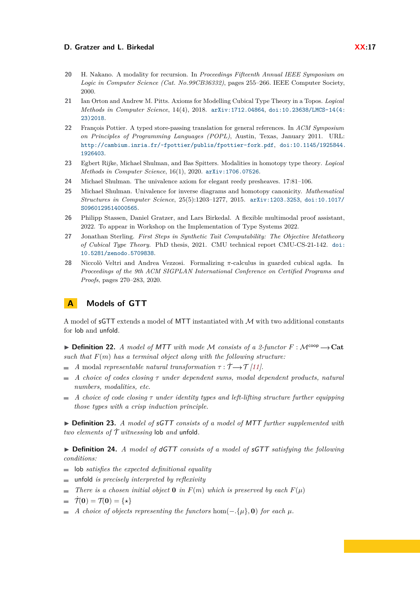- <span id="page-16-0"></span>**20** H. Nakano. A modality for recursion. In *Proceedings Fifteenth Annual IEEE Symposium on Logic in Computer Science (Cat. No.99CB36332)*, pages 255–266. IEEE Computer Society, 2000.
- <span id="page-16-6"></span>**21** Ian Orton and Andrew M. Pitts. Axioms for Modelling Cubical Type Theory in a Topos. *Logical Methods in Computer Science*, 14(4), 2018. [arXiv:1712.04864](http://arxiv.org/abs/1712.04864), [doi:10.23638/LMCS-14\(4:](https://doi.org/10.23638/LMCS-14(4:23)2018) [23\)2018](https://doi.org/10.23638/LMCS-14(4:23)2018).
- <span id="page-16-1"></span>**22** François Pottier. A typed store-passing translation for general references. In *ACM Symposium on Principles of Programming Languages (POPL)*, Austin, Texas, January 2011. URL: <http://cambium.inria.fr/~fpottier/publis/fpottier-fork.pdf>, [doi:10.1145/1925844.](https://doi.org/10.1145/1925844.1926403) [1926403](https://doi.org/10.1145/1925844.1926403).
- <span id="page-16-9"></span>**23** Egbert Rijke, Michael Shulman, and Bas Spitters. Modalities in homotopy type theory. *Logical Methods in Computer Science*, 16(1), 2020. [arXiv:1706.07526](http://arxiv.org/abs/1706.07526).
- <span id="page-16-5"></span>**24** Michael Shulman. The univalence axiom for elegant reedy presheaves. 17:81–106.
- <span id="page-16-3"></span>**25** Michael Shulman. Univalence for inverse diagrams and homotopy canonicity. *Mathematical Structures in Computer Science*, 25(5):1203–1277, 2015. [arXiv:1203.3253](http://arxiv.org/abs/1203.3253), [doi:10.1017/](https://doi.org/10.1017/S0960129514000565) [S0960129514000565](https://doi.org/10.1017/S0960129514000565).
- <span id="page-16-7"></span>**26** Philipp Stassen, Daniel Gratzer, and Lars Birkedal. A flexible multimodal proof assistant, 2022. To appear in Workshop on the Implementation of Type Systems 2022.
- <span id="page-16-2"></span>**27** Jonathan Sterling. *First Steps in Synthetic Tait Computability: The Objective Metatheory of Cubical Type Theory*. PhD thesis, 2021. CMU technical report CMU-CS-21-142. [doi:](https://doi.org/10.5281/zenodo.5709838) [10.5281/zenodo.5709838](https://doi.org/10.5281/zenodo.5709838).
- <span id="page-16-8"></span>**28** Niccolò Veltri and Andrea Vezzosi. Formalizing *π*-calculus in guarded cubical agda. In *Proceedings of the 9th ACM SIGPLAN International Conference on Certified Programs and Proofs*, pages 270–283, 2020.

# <span id="page-16-4"></span>**A Models of GTT**

A model of sGTT extends a model of MTT instantiated with M with two additional constants for lob and unfold.

 $\triangleright$  **Definition 22.** *A model of MTT with mode M consists of a 2-functor*  $F : \mathcal{M}^{coop} \rightarrow \mathbf{Cat}$ *such that F*(*m*) *has a terminal object along with the following structure:*

- $\blacksquare$  *A* modal *representable natural transformation*  $\tau : \dot{\mathcal{T}} \rightarrow \mathcal{T}$  [\[11\]](#page-15-5)*.*
- *A choice of codes closing τ under dependent sums, modal dependent products, natural*  $\sim$ *numbers, modalities, etc.*
- *A choice of code closing τ under identity types and left-lifting structure further equipping*  $\equiv$ *those types with a crisp induction principle.*

I **Definition 23.** *A model of* sGTT *consists of a model of* MTT *further supplemented with two elements of*  $\mathcal{T}$  *witnessing* lob *and* unfold.

▶ Definition 24. *A model of dGTT consists of a model of* sGTT *satisfying the following conditions:*

- lob *satisfies the expected definitional equality*
- unfold *is precisely interpreted by reflexivity*
- *There is a chosen initial object* **0** *in*  $F(m)$  *which is preserved by each*  $F(\mu)$
- $\vec{\tau}(0) = \tau(0) = \{ \star \}$
- $\blacksquare$  *A choice of objects representing the functors* hom $(-\{\mu\}, \mathbf{0})$  *for each*  $\mu$ *.*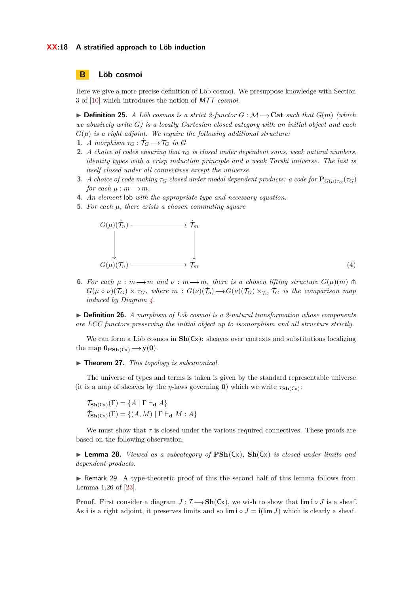#### **XX:18 A stratified approach to Löb induction**

# <span id="page-17-0"></span>**B Löb cosmoi**

Here we give a more precise definition of Löb cosmoi. We presuppose knowledge with Section 3 of [\[10\]](#page-15-6) which introduces the notion of MTT *cosmoi*.

 $\triangleright$  **Definition 25.** *A Löb cosmos is a strict 2-functor*  $G : \mathcal{M} \rightarrow \mathbf{Cat}$  *such that*  $G(m)$  *(which we abusively write G) is a locally Cartesian closed category with an initial object and each*  $G(\mu)$  *is a right adjoint. We require the following additional structure:* 

- **1.** *A* morphism  $\tau_G : \mathcal{T}_G \longrightarrow \mathcal{T}_G$  in G
- **2.** *A choice of codes ensuring that*  $\tau_G$  *is closed under dependent sums, weak natural numbers, identity types with a crisp induction principle and a weak Tarski universe. The last is itself closed under all connectives except the universe.*
- **3.** *A choice of code making*  $\tau_G$  *closed under modal dependent products: a code for*  $\mathbf{P}_{G(\mu)\tau_G}(\tau_G)$ *for each*  $\mu : m \longrightarrow m$ .
- **4.** *An element* lob *with the appropriate type and necessary equation.*
- **5.** *For each µ, there exists a chosen commuting square*

<span id="page-17-1"></span>

**6.** For each  $\mu : m \rightarrow m$  and  $\nu : m \rightarrow m$ , there is a chosen lifting structure  $G(\mu)(m)$  th  $G(\mu \circ \nu)(\mathcal{T}_G) \times \tau_G$ , where  $m: G(\nu)(\mathcal{T}_G) \to G(\nu)(\mathcal{T}_G) \times \tau_G$   $\mathcal{T}_G$  *is the comparison map induced by Diagram [4.](#page-17-1)*

I **Definition 26.** *A morphism of Löb cosmoi is a 2-natural transformation whose components are LCC functors preserving the initial object up to isomorphism and all structure strictly.*

We can form a Löb cosmos in  $\text{Sh}(C_x)$ : sheaves over contexts and substitutions localizing the map  $\mathbf{0}_{\mathbf{PSh}(C_x)} \longrightarrow \mathbf{y}(\mathbf{0}).$ 

#### ▶ **Theorem 27.** *This topology is subcanonical.*

The universe of types and terms is taken is given by the standard representable universe (it is a map of sheaves by the *η*-laws governing **0**) which we write  $\tau_{\text{Sh}(Cx)}$ :

 $\mathcal{T}_{\mathbf{Sh}(C_x)}(\Gamma) = \{A \mid \Gamma \vdash_{\mathbf{d}} A\}$  $\dot{\mathcal{T}}_{\mathbf{Sh}(\mathsf{Cx})}(\Gamma) = \{(A, M) | \Gamma \vdash_{\mathbf{d}} M : A\}$ 

We must show that  $\tau$  is closed under the various required connectives. These proofs are based on the following observation.

 $\triangleright$  **Lemma 28.** *Viewed as a subcategory of*  $\mathbf{PSh}(Cx)$ *,*  $\mathbf{Sh}(Cx)$  *is closed under limits and dependent products.*

► Remark 29. A type-theoretic proof of this the second half of this lemma follows from Lemma 1.26 of [\[23\]](#page-16-9).

**Proof.** First consider a diagram  $J: \mathcal{I} \longrightarrow Sh(Cx)$ , we wish to show that  $\lim_{\delta} i \circ J$  is a sheaf. As **i** is a right adjoint, it preserves limits and so  $\lim_{\lambda \to \infty} i \cdot J = i(\lim_{\lambda \to \infty} J)$  which is clearly a sheaf.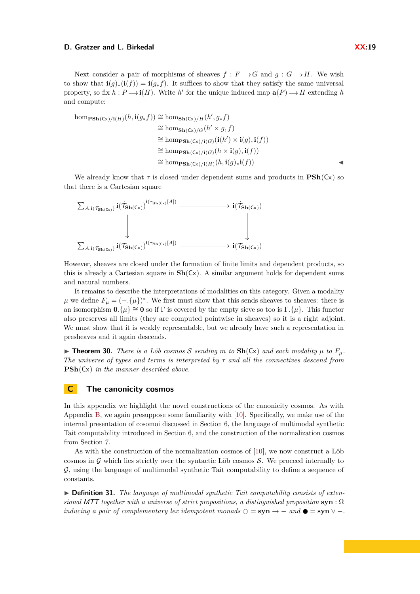Next consider a pair of morphisms of sheaves  $f : F \rightarrow G$  and  $g : G \rightarrow H$ . We wish to show that  $\mathbf{i}(g)_*(\mathbf{i}(f)) = \mathbf{i}(g_* f)$ . It suffices to show that they satisfy the same universal property, so fix  $h: P \longrightarrow i(H)$ . Write *h*<sup> $\prime$ </sup> for the unique induced map  $a(P) \longrightarrow H$  extending *h* and compute:

hom<sub>PSh</sub>(cx)/i(H)(h, 
$$
\mathbf{i}(g_* f)
$$
)  $\cong$  hom<sub>Sh</sub>(cx)/H(h', g\_\* f)  
\n $\cong$  hom<sub>Sh</sub>(cx)/G(h' \times g, f)  
\n $\cong$  hom<sub>PSh</sub>(cx)/i(G)( $\mathbf{i}(h') \times \mathbf{i}(g), \mathbf{i}(f)$ )  
\n $\cong$  hom<sub>PSh</sub>(cx)/i(G)(h \times  $\mathbf{i}(g), \mathbf{i}(f)$ )  
\n $\cong$  hom<sub>PSh</sub>(cx)/i(H)(h,  $\mathbf{i}(g)_*\mathbf{i}(f)$ )

We already know that  $\tau$  is closed under dependent sums and products in  $\text{PSh}(Cx)$  so that there is a Cartesian square



However, sheaves are closed under the formation of finite limits and dependent products, so this is already a Cartesian square in **Sh**(Cx). A similar argument holds for dependent sums and natural numbers.

It remains to describe the interpretations of modalities on this category. Given a modality  $\mu$  we define  $F_{\mu} = (-\{\mu\})^*$ . We first must show that this sends sheaves to sheaves: there is an isomorphism  $0.\{\mu\} \cong 0$  so if Γ is covered by the empty sieve so too is  $\Gamma.\{\mu\}$ . This functor also preserves all limits (they are computed pointwise in sheaves) so it is a right adjoint. We must show that it is weakly representable, but we already have such a representation in presheaves and it again descends.

 $\triangleright$  **Theorem 30.** *There is a Löb cosmos S sending m to*  $\text{Sh}(Cx)$  *and each modality*  $\mu$  *to*  $F_{\mu}$ *. The universe of types and terms is interpreted by τ and all the connectives descend from* **PSh**(Cx) *in the manner described above.*

# <span id="page-18-0"></span>**C The canonicity cosmos**

In this appendix we highlight the novel constructions of the canonicity cosmos. As with Appendix [B,](#page-17-0) we again presuppose some familiarity with [\[10\]](#page-15-6). Specifically, we make use of the internal presentation of cosomoi discussed in Section 6, the language of multimodal synthetic Tait computability introduced in Section 6, and the construction of the normalization cosmos from Section 7.

As with the construction of the normalization cosmos of [\[10\]](#page-15-6), we now construct a Löb cosmos in  $\mathcal G$  which lies strictly over the syntactic Löb cosmos  $\mathcal S$ . We proceed internally to G, using the language of multimodal synthetic Tait computability to define a sequence of constants.

▶ **Definition 31.** The language of multimodal synthetic Tait computability consists of exten*sional* MTT *together with a universe of strict propositions, a distinguished proposition* **syn** : Ω *inducing a pair of complementary lex idempotent monads*  $\bigcirc = \textbf{syn} \rightarrow -$  *and*  $\bullet = \textbf{syn} \vee -$ *.*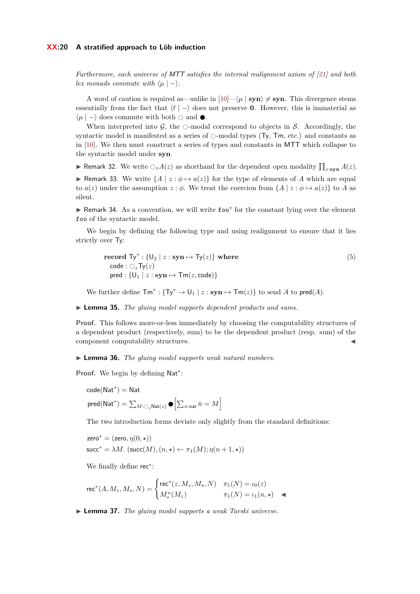#### **XX:20 A stratified approach to Löb induction**

*Furthermore, each universe of* MTT *satisfies the internal realignment axiom of [\[21\]](#page-16-6) and both lex monads commute with*  $\langle \mu | - \rangle$ *.* 

A word of caution is required as—unlike in  $[10] - \langle \mu | \text{ syn} \rangle \neq \text{syn}$  $[10] - \langle \mu | \text{ syn} \rangle \neq \text{syn}$ . This divergence stems essentially from the fact that  $\langle \ell | - \rangle$  does not preserve **0**. However, this is immaterial as  $\langle \mu | - \rangle$  does commute with both  $\bigcirc$  and  $\bullet$ .

When interpreted into  $\mathcal{G}$ , the  $\circ$ -modal correspond to objects in S. Accordingly, the syntactic model is manifested as a series of  $\circ$ -modal types (Ty, Tm, etc.) and constants as in [\[10\]](#page-15-6). We then must construct a series of types and constants in MTT which collapse to the syntactic model under **syn**.

**• Remark 32.** We write  $\bigcirc_z A(z)$  as shorthand for the dependent open modality  $\prod_{z:\textbf{syn}} A(z)$ . ► Remark 33. We write  $\{A \mid z : \phi \mapsto a(z)\}$  for the type of elements of *A* which are equal to  $a(z)$  under the assumption  $z : \phi$ . We treat the coercion from  $\{A \mid z : \phi \mapsto a(z)\}$  to *A* as silent.

► Remark 34. As a convention, we will write foo\* for the constant lying over the element foo of the syntactic model.

We begin by defining the following type and using realignment to ensure that it lies strictly over Ty:

$$
\begin{aligned}\n\textbf{record } \mathsf{Ty}^* : \{ \mathsf{U}_2 \mid z : \textbf{syn} \mapsto \mathsf{Ty}(z) \} \textbf{ where} \\
\textbf{code} : \bigcirc_z \mathsf{Ty}(z) \\
\textbf{pred} : \{ \mathsf{U}_1 \mid z : \textbf{syn} \mapsto \mathsf{Tm}(z, \textbf{code}) \}\n\end{aligned} \tag{5}
$$

We further define  $\textsf{Tm}^* : \{\textsf{Ty}^* \to \textsf{U}_1 \mid z : \textbf{syn} \mapsto \textsf{Tm}(z)\}$  to send *A* to  $\textsf{pred}(A)$ .

I **Lemma 35.** *The gluing model supports dependent products and sums.*

**Proof.** This follows more-or-less immediately by choosing the computability structures of a dependent product (respectively, sum) to be the dependent product (resp. sum) of the component computability structures.

I **Lemma 36.** *The gluing model supports weak natural numbers.*

Proof. We begin by defining Nat<sup>\*</sup>:

$$
\begin{aligned} &\text{code}(\text{Nat}^*) = \text{Nat} \\ &\text{pred}(\text{Nat}^*) = \sum_{M:\bigcirc_z\text{Nat}(z)} \bullet \Bigl[\sum_{n:\text{nat}}\bar{n} = M\Bigr] \end{aligned}
$$

The two introduction forms deviate only slightly from the standard definitions:

$$
\begin{aligned} &\mathsf{zero}^* = (\mathsf{zero}, \eta(0, \star)) \\ &\mathsf{succ}^* = \lambda M.~(\mathsf{succ}(M), (n, \star) \leftarrow \pi_1(M); \eta(n+1, \star)) \end{aligned}
$$

We finally define rec<sup>∗</sup> :

$$
\text{rec}^*(A, M_z, M_s, N) = \begin{cases} \text{rec}^*(z, M_z, M_s, N) & \pi_1(N) = \iota_0(z) \\ M_s^n(M_z) & \pi_1(N) = \iota_1(n, \star) \end{cases}
$$

I **Lemma 37.** *The gluing model supports a weak Tarski universe.*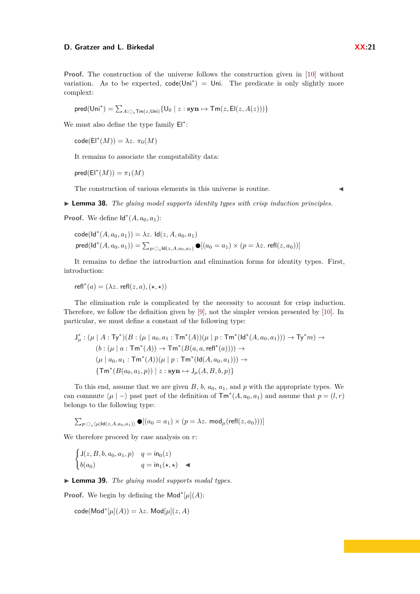**Proof.** The construction of the universe follows the construction given in [\[10\]](#page-15-6) without variation. As to be expected,  $code(Uni^*) = Uni$ . The predicate is only slightly more complext:

$$
\mathsf{pred}(\mathsf{Uni}^*) = \textstyle \sum_{A:\bigcirc_z \mathsf{Tm}(z,\mathsf{Uni})} \{\mathsf{U}_0 \mid z: \mathbf{syn} \mapsto \mathsf{Tm}(z,\mathsf{El}(z,A(z)))\}
$$

We must also define the type family  $E|$ <sup>\*</sup>:

 $\mathsf{code}(\mathsf{El}^*(M)) = \lambda z. \ \pi_0(M)$ 

It remains to associate the computability data:

 $\mathsf{pred}(\mathsf{El}^*(M)) = \pi_1(M)$ 

The construction of various elements in this universe is routine.  $\blacksquare$ 

I **Lemma 38.** *The gluing model supports identity types with crisp induction principles.*

**Proof.** We define  $\mathsf{Id}^*(A, a_0, a_1)$ :

$$
\text{code}(\text{Id}^*(A, a_0, a_1)) = \lambda z. \ \text{Id}(z, A, a_0, a_1)
$$
\n
$$
\text{pred}(\text{Id}^*(A, a_0, a_1)) = \sum_{p: \bigcirc_z \text{Id}(z, A, a_0, a_1)} \bullet [(a_0 = a_1) \times (p = \lambda z. \ \text{refl}(z, a_0))]
$$

It remains to define the introduction and elimination forms for identity types. First, introduction:

 $refl^*(a) = (\lambda z \cdot refl(z, a), (\star, \star))$ 

The elimination rule is complicated by the necessity to account for crisp induction. Therefore, we follow the definition given by [\[9\]](#page-15-16), not the simpler version presented by [\[10\]](#page-15-6). In particular, we must define a constant of the following type:

$$
\begin{aligned}\n\mathsf{J}^*_{\mu} : (\mu \mid A : \mathsf{Ty}^*)(B : (\mu \mid a_0, a_1 : \mathsf{Tm}^*(A))(\mu \mid p : \mathsf{Tm}^*(\mathsf{Id}^*(A, a_0, a_1))) \to \mathsf{Ty}^*m) &\to \\
(b : (\mu \mid a : \mathsf{Tm}^*(A)) \to \mathsf{Tm}^*(B(a, a, \mathsf{refl}^*(a)))) \to \\
(\mu \mid a_0, a_1 : \mathsf{Tm}^*(A))(\mu \mid p : \mathsf{Tm}^*(\mathsf{Id}(A, a_0, a_1))) \to \\
\{\mathsf{Tm}^*(B(a_0, a_1, p)) \mid z : \mathbf{syn} \mapsto \mathsf{J}_{\mu}(A, B, b, p)\}\n\end{aligned}
$$

To this end, assume that we are given  $B$ ,  $b$ ,  $a_0$ ,  $a_1$ , and  $p$  with the appropriate types. We can commute  $\langle \mu | - \rangle$  past part of the definition of  $\mathsf{Tm}^*(A, a_0, a_1)$  and assume that  $p = (l, r)$ belongs to the following type:

$$
\sum_{p:\bigcirc_z\langle\mu|\mathrm{Id}(z,A,a_0,a_1)\rangle}\bullet[(a_0=a_1)\times(p=\lambda z.\text{ mod}_{\mu}(\text{refl}(z,a_0)))]
$$

We therefore proceed by case analysis on *r*:

$$
\begin{cases}\n\mathsf{J}(z, B, b, a_0, a_1, p) & q = \mathsf{in}_0(z) \\
b(a_0) & q = \mathsf{in}_1(\star, \star) \quad \blacktriangleleft\n\end{cases}
$$

I **Lemma 39.** *The gluing model supports modal types.*

**Proof.** We begin by defining the Mod<sup>\*</sup>[ $\mu$ ](A):

 $\operatorname{code}(\operatorname{\mathsf{Mod}}^*[\mu](A)) = \lambda z$ .  $\operatorname{\mathsf{Mod}}[\mu](z, A)$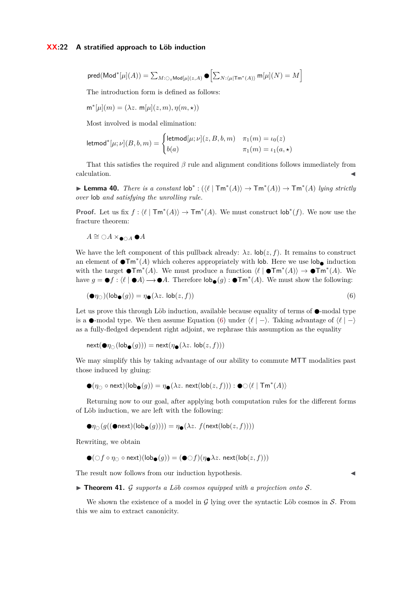$$
\text{pred}(\text{Mod}^*[\mu](A)) = \sum_{M:\bigcirc_z \text{Mod}[\mu](z, A)} \bullet \left[ \sum_{N:\langle \mu | \text{Tr}^*(A) \rangle} \text{m}[\mu](N) = M \right]
$$

The introduction form is defined as follows:

$$
\mathsf{m}^*[\mu](m) = (\lambda z. \ \mathsf{m}[\mu](z,m), \eta(m, \star))
$$

Most involved is modal elimination:

$$
\mathsf{letmod}^*[ \mu ; \nu ] (B,b,m) = \begin{cases} \mathsf{letmod}[\mu ; \nu ](z,B,b,m) & \pi_1(m) = \iota_0(z) \\ b(a) & \pi_1(m) = \iota_1(a, \star) \end{cases}
$$

That this satisfies the required *β* rule and alignment conditions follows immediately from  $\alpha$  calculation.

**► Lemma 40.** *There is a constant*  $\text{lob}^*: (\langle \ell | \text{Tm}^*(A) \rangle \to \text{Tm}^*(A)) \to \text{Tm}^*(A)$  *lying strictly over* lob *and satisfying the unrolling rule.*

**Proof.** Let us fix  $f: \mathcal{U} \mid \text{Tm}^*(A) \rightarrow \text{Tm}^*(A)$ . We must construct  $\text{lob}^*(f)$ . We now use the fracture theorem:

 $A \cong \bigcirc A \times_{\bullet \cap A}$  ● *A* 

We have the left component of this pullback already:  $\lambda z$ .  $\text{lob}(z, f)$ . It remains to construct an element of  $\bullet \mathsf{Tm}^*(A)$  which coheres appropriately with lob. Here we use  $\mathsf{lob}_\bullet$  induction with the target  $\bullet \mathsf{Tm}^*(A)$ . We must produce a function  $\langle \ell | \bullet \mathsf{Tm}^*(A) \rangle \to \bullet \mathsf{Tm}^*(A)$ . We have  $g = \bullet f : \langle \ell | \bullet A \rangle \longrightarrow \bullet A$ . Therefore  $\mathsf{lob}_{\bullet}(g) : \bullet \mathsf{Tm}^*(A)$ . We must show the following:

$$
(\mathbf{O}\eta_{\bigcirc})(\mathsf{lob}_{\mathbf{O}}(g)) = \eta_{\mathbf{O}}(\lambda z. \mathsf{lob}(z, f)) \tag{6}
$$

Let us prove this through Löb induction, available because equality of terms of  $\bullet$ -modal type is a  $\bullet$ -modal type. We then assume Equation [\(6\)](#page-21-0) under  $\langle \ell | - \rangle$ . Taking advantage of  $\langle \ell | - \rangle$ as a fully-fledged dependent right adjoint, we rephrase this assumption as the equality

$$
\operatorname{next}(\bigcirc \eta_{\bigcirc}(\operatorname{lob}_{\bigcirc}(g))) = \operatorname{next}(\eta_{\bigcirc}(\lambda z. \operatorname{lob}(z, f)))
$$

We may simplify this by taking advantage of our ability to commute MTT modalities past those induced by gluing:

$$
\bullet (\eta_\bigcirc \circ \mathsf{next})(\mathsf{lob}_{\bullet}(g)) = \eta_\bullet(\lambda z. \; \mathsf{next}(\mathsf{lob}(z,f))) : \bullet \bigcirc \langle \ell \mid \mathsf{Tm}^*(A) \rangle
$$

Returning now to our goal, after applying both computation rules for the different forms of Löb induction, we are left with the following:

$$
\bullet \eta_{\bigcirc}(g((\bullet \mathsf{next})(\mathsf{lob}_{\bullet}(g)))) = \eta_{\bullet}(\lambda z. f(\mathsf{next}(\mathsf{lob}(z, f))))
$$

Rewriting, we obtain

$$
\bullet (\bigcirc f \circ \eta_{\bigcirc} \circ \mathsf{next})(\mathsf{lob}_{\bullet}(g)) = (\bullet \bigcirc f)(\eta_{\bullet} \lambda z. \; \mathsf{next}(\mathsf{lob}(z,f)))
$$

The result now follows from our induction hypothesis.

<span id="page-21-0"></span>

 $\triangleright$  **Theorem 41.** G supports a Löb cosmos equipped with a projection onto S.

We shown the existence of a model in  $\mathcal G$  lying over the syntactic Löb cosmos in  $\mathcal S$ . From this we aim to extract canonicity.